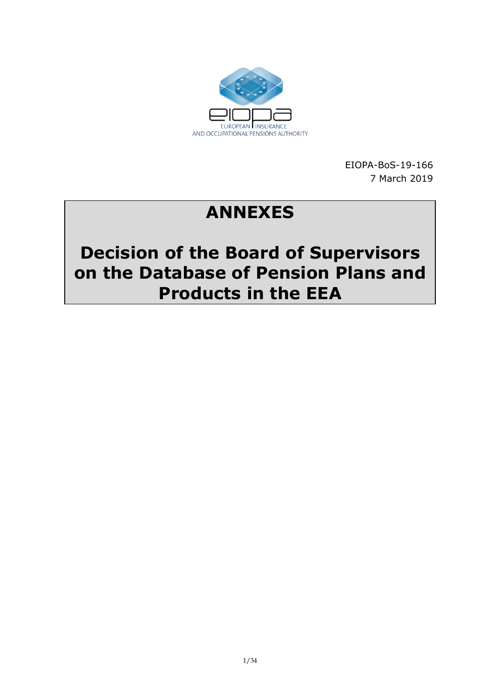

EIOPA-BoS-19-166 7 March 2019

# **ANNEXES**

# **Decision of the Board of Supervisors on the Database of Pension Plans and Products in the EEA**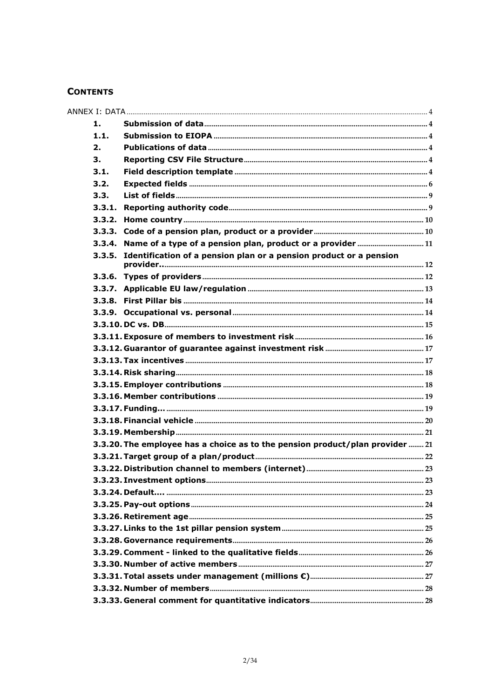#### **CONTENTS**

| Identification of a pension plan or a pension product or a pension |                                                                                                                                                                            |
|--------------------------------------------------------------------|----------------------------------------------------------------------------------------------------------------------------------------------------------------------------|
|                                                                    |                                                                                                                                                                            |
|                                                                    |                                                                                                                                                                            |
|                                                                    |                                                                                                                                                                            |
|                                                                    |                                                                                                                                                                            |
|                                                                    |                                                                                                                                                                            |
|                                                                    |                                                                                                                                                                            |
|                                                                    |                                                                                                                                                                            |
|                                                                    |                                                                                                                                                                            |
|                                                                    |                                                                                                                                                                            |
|                                                                    |                                                                                                                                                                            |
|                                                                    |                                                                                                                                                                            |
|                                                                    |                                                                                                                                                                            |
|                                                                    |                                                                                                                                                                            |
|                                                                    |                                                                                                                                                                            |
|                                                                    |                                                                                                                                                                            |
|                                                                    |                                                                                                                                                                            |
|                                                                    |                                                                                                                                                                            |
|                                                                    |                                                                                                                                                                            |
|                                                                    |                                                                                                                                                                            |
|                                                                    |                                                                                                                                                                            |
|                                                                    |                                                                                                                                                                            |
|                                                                    |                                                                                                                                                                            |
|                                                                    |                                                                                                                                                                            |
|                                                                    |                                                                                                                                                                            |
|                                                                    |                                                                                                                                                                            |
|                                                                    |                                                                                                                                                                            |
|                                                                    |                                                                                                                                                                            |
|                                                                    |                                                                                                                                                                            |
|                                                                    | 3.3.2.<br>Name of a type of a pension plan, product or a provider  11<br>3.3.4.<br>3.3.5.<br>3.3.20. The employee has a choice as to the pension product/plan provider  21 |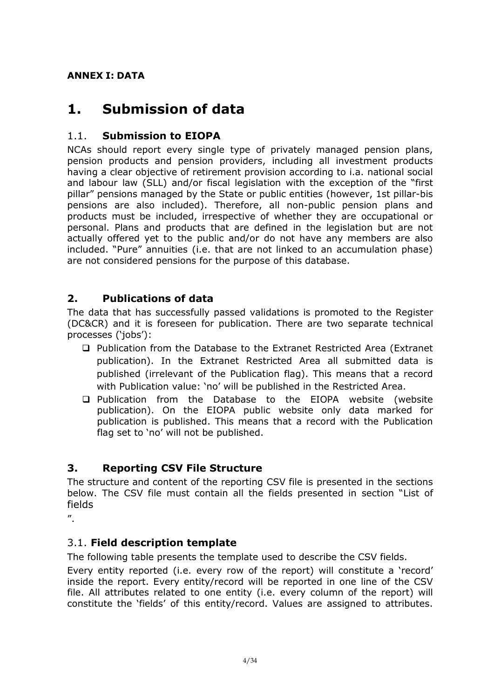### <span id="page-3-0"></span>**ANNEX I: DATA**

# <span id="page-3-1"></span>**1. Submission of data**

### <span id="page-3-2"></span>1.1. **Submission to EIOPA**

NCAs should report every single type of privately managed pension plans, pension products and pension providers, including all investment products having a clear objective of retirement provision according to i.a. national social and labour law (SLL) and/or fiscal legislation with the exception of the "first pillar" pensions managed by the State or public entities (however, 1st pillar-bis pensions are also included). Therefore, all non-public pension plans and products must be included, irrespective of whether they are occupational or personal. Plans and products that are defined in the legislation but are not actually offered yet to the public and/or do not have any members are also included. "Pure" annuities (i.e. that are not linked to an accumulation phase) are not considered pensions for the purpose of this database.

### <span id="page-3-3"></span>**2. Publications of data**

The data that has successfully passed validations is promoted to the Register (DC&CR) and it is foreseen for publication. There are two separate technical processes ('jobs'):

- □ Publication from the Database to the Extranet Restricted Area (Extranet publication). In the Extranet Restricted Area all submitted data is published (irrelevant of the Publication flag). This means that a record with Publication value: 'no' will be published in the Restricted Area.
- Publication from the Database to the EIOPA website (website publication). On the EIOPA public website only data marked for publication is published. This means that a record with the Publication flag set to 'no' will not be published.

### <span id="page-3-4"></span>**3. Reporting CSV File Structure**

The structure and content of the reporting CSV file is presented in the sections below. The CSV file must contain all the fields presented in section "[List of](#page-8-0) [fields](#page-8-0)

 $^{\prime\prime}$ .

### <span id="page-3-5"></span>3.1. **Field description template**

The following table presents the template used to describe the CSV fields.

Every entity reported (i.e. every row of the report) will constitute a 'record' inside the report. Every entity/record will be reported in one line of the CSV file. All attributes related to one entity (i.e. every column of the report) will constitute the 'fields' of this entity/record. Values are assigned to attributes.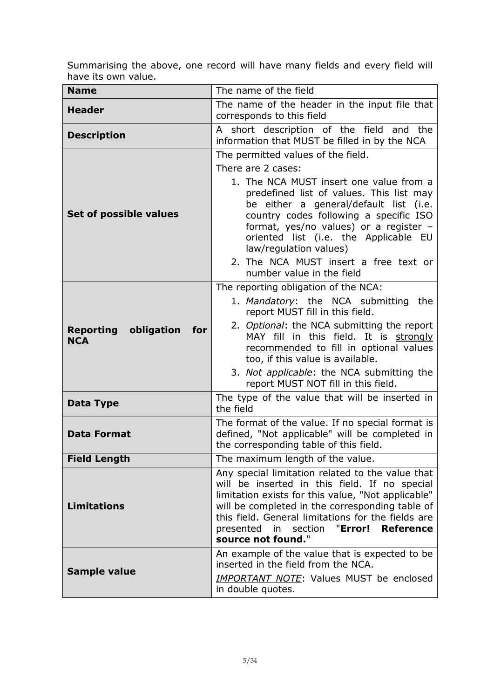Summarising the above, one record will have many fields and every field will have its own value.

| <b>Name</b>                                      | The name of the field                                                                                                                                                                                                                                                                                                                                      |
|--------------------------------------------------|------------------------------------------------------------------------------------------------------------------------------------------------------------------------------------------------------------------------------------------------------------------------------------------------------------------------------------------------------------|
| <b>Header</b>                                    | The name of the header in the input file that<br>corresponds to this field                                                                                                                                                                                                                                                                                 |
| <b>Description</b>                               | A short description of the field and the<br>information that MUST be filled in by the NCA                                                                                                                                                                                                                                                                  |
|                                                  | The permitted values of the field.                                                                                                                                                                                                                                                                                                                         |
|                                                  | There are 2 cases:                                                                                                                                                                                                                                                                                                                                         |
| Set of possible values                           | 1. The NCA MUST insert one value from a<br>predefined list of values. This list may<br>be either a general/default list (i.e.<br>country codes following a specific ISO<br>format, yes/no values) or a register -<br>oriented list (i.e. the Applicable EU<br>law/regulation values)<br>2. The NCA MUST insert a free text or<br>number value in the field |
|                                                  | The reporting obligation of the NCA:                                                                                                                                                                                                                                                                                                                       |
| <b>Reporting obligation</b><br>for<br><b>NCA</b> | 1. Mandatory: the NCA submitting the<br>report MUST fill in this field.<br>2. Optional: the NCA submitting the report<br>MAY fill in this field. It is strongly<br>recommended to fill in optional values<br>too, if this value is available.<br>3. Not applicable: the NCA submitting the                                                                 |
|                                                  | report MUST NOT fill in this field.                                                                                                                                                                                                                                                                                                                        |
| Data Type                                        | The type of the value that will be inserted in<br>the field                                                                                                                                                                                                                                                                                                |
| <b>Data Format</b>                               | The format of the value. If no special format is<br>defined, "Not applicable" will be completed in<br>the corresponding table of this field.                                                                                                                                                                                                               |
| <b>Field Length</b>                              | The maximum length of the value.                                                                                                                                                                                                                                                                                                                           |
| <b>Limitations</b>                               | Any special limitation related to the value that<br>will be inserted in this field. If no special<br>limitation exists for this value, "Not applicable"<br>will be completed in the corresponding table of<br>this field. General limitations for the fields are<br>presented in section "Error!<br><b>Reference</b><br>source not found."                 |
|                                                  | An example of the value that is expected to be<br>inserted in the field from the NCA.                                                                                                                                                                                                                                                                      |
| <b>Sample value</b>                              | <b>IMPORTANT NOTE:</b> Values MUST be enclosed<br>in double quotes.                                                                                                                                                                                                                                                                                        |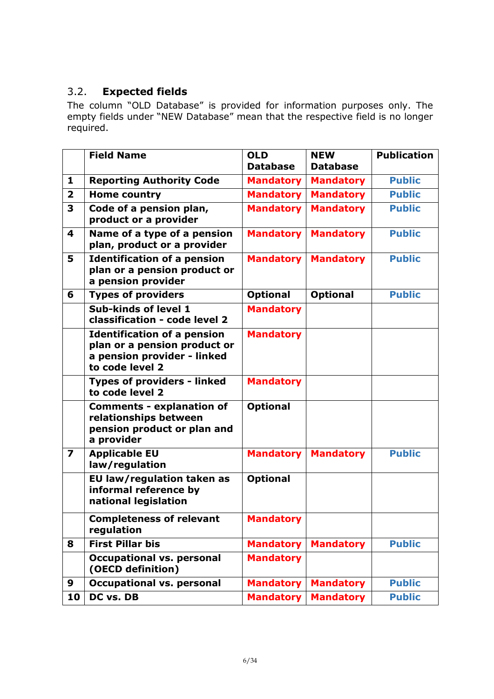### <span id="page-5-0"></span>3.2. **Expected fields**

The column "OLD Database" is provided for information purposes only. The empty fields under "NEW Database" mean that the respective field is no longer required.

|                         | <b>Field Name</b>                                                                                                    | <b>OLD</b>       | <b>NEW</b>       | <b>Publication</b> |
|-------------------------|----------------------------------------------------------------------------------------------------------------------|------------------|------------------|--------------------|
|                         |                                                                                                                      | <b>Database</b>  | <b>Database</b>  |                    |
| 1                       | <b>Reporting Authority Code</b>                                                                                      | <b>Mandatory</b> | <b>Mandatory</b> | <b>Public</b>      |
| $\overline{\mathbf{2}}$ | <b>Home country</b>                                                                                                  | <b>Mandatory</b> | <b>Mandatory</b> | <b>Public</b>      |
| 3                       | Code of a pension plan,<br>product or a provider                                                                     | <b>Mandatory</b> | <b>Mandatory</b> | <b>Public</b>      |
| 4                       | Name of a type of a pension<br>plan, product or a provider                                                           | <b>Mandatory</b> | <b>Mandatory</b> | <b>Public</b>      |
| 5                       | <b>Identification of a pension</b><br>plan or a pension product or<br>a pension provider                             | <b>Mandatory</b> | <b>Mandatory</b> | <b>Public</b>      |
| 6                       | <b>Types of providers</b>                                                                                            | <b>Optional</b>  | <b>Optional</b>  | <b>Public</b>      |
|                         | Sub-kinds of level 1<br>classification - code level 2                                                                | <b>Mandatory</b> |                  |                    |
|                         | <b>Identification of a pension</b><br>plan or a pension product or<br>a pension provider - linked<br>to code level 2 | <b>Mandatory</b> |                  |                    |
|                         | <b>Types of providers - linked</b><br>to code level 2                                                                | <b>Mandatory</b> |                  |                    |
|                         | <b>Comments - explanation of</b><br>relationships between<br>pension product or plan and<br>a provider               | <b>Optional</b>  |                  |                    |
| $\overline{\mathbf{z}}$ | <b>Applicable EU</b><br>law/regulation                                                                               | <b>Mandatory</b> | <b>Mandatory</b> | <b>Public</b>      |
|                         | EU law/regulation taken as<br>informal reference by<br>national legislation                                          | <b>Optional</b>  |                  |                    |
|                         | <b>Completeness of relevant</b><br>regulation                                                                        | <b>Mandatory</b> |                  |                    |
| 8                       | <b>First Pillar bis</b>                                                                                              | <b>Mandatory</b> | <b>Mandatory</b> | <b>Public</b>      |
|                         | <b>Occupational vs. personal</b><br>(OECD definition)                                                                | <b>Mandatory</b> |                  |                    |
| 9                       | <b>Occupational vs. personal</b>                                                                                     | <b>Mandatory</b> | <b>Mandatory</b> | <b>Public</b>      |
| 10                      | DC vs. DB                                                                                                            | <b>Mandatory</b> | <b>Mandatory</b> | <b>Public</b>      |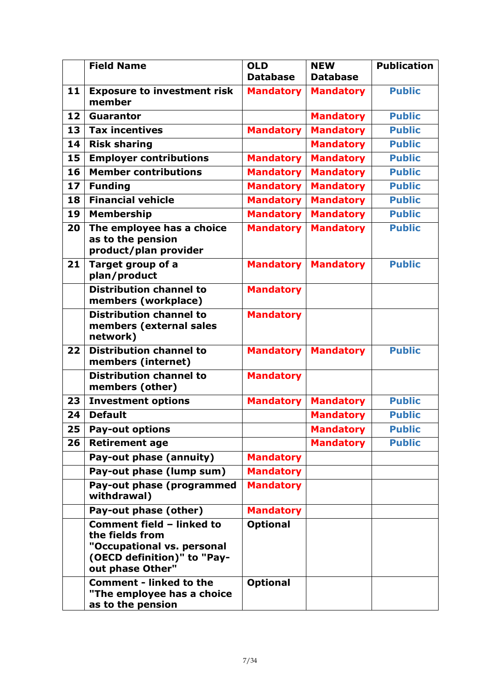|    | <b>Field Name</b>                                                                                                             | <b>OLD</b>       | <b>NEW</b>       | <b>Publication</b> |
|----|-------------------------------------------------------------------------------------------------------------------------------|------------------|------------------|--------------------|
|    |                                                                                                                               | <b>Database</b>  | <b>Database</b>  |                    |
| 11 | <b>Exposure to investment risk</b><br>member                                                                                  | <b>Mandatory</b> | <b>Mandatory</b> | <b>Public</b>      |
| 12 | <b>Guarantor</b>                                                                                                              |                  | <b>Mandatory</b> | <b>Public</b>      |
| 13 | <b>Tax incentives</b>                                                                                                         | <b>Mandatory</b> | <b>Mandatory</b> | <b>Public</b>      |
| 14 | <b>Risk sharing</b>                                                                                                           |                  | <b>Mandatory</b> | <b>Public</b>      |
| 15 | <b>Employer contributions</b>                                                                                                 | <b>Mandatory</b> | <b>Mandatory</b> | <b>Public</b>      |
| 16 | <b>Member contributions</b>                                                                                                   | <b>Mandatory</b> | <b>Mandatory</b> | <b>Public</b>      |
| 17 | <b>Funding</b>                                                                                                                | <b>Mandatory</b> | <b>Mandatory</b> | <b>Public</b>      |
| 18 | <b>Financial vehicle</b>                                                                                                      | <b>Mandatory</b> | <b>Mandatory</b> | <b>Public</b>      |
| 19 | <b>Membership</b>                                                                                                             | <b>Mandatory</b> | <b>Mandatory</b> | <b>Public</b>      |
| 20 | The employee has a choice<br>as to the pension<br>product/plan provider                                                       | <b>Mandatory</b> | <b>Mandatory</b> | <b>Public</b>      |
| 21 | Target group of a<br>plan/product                                                                                             | <b>Mandatory</b> | <b>Mandatory</b> | <b>Public</b>      |
|    | <b>Distribution channel to</b><br>members (workplace)                                                                         | <b>Mandatory</b> |                  |                    |
|    | <b>Distribution channel to</b><br>members (external sales<br>network)                                                         | <b>Mandatory</b> |                  |                    |
| 22 | <b>Distribution channel to</b><br>members (internet)                                                                          | <b>Mandatory</b> | <b>Mandatory</b> | <b>Public</b>      |
|    | <b>Distribution channel to</b><br>members (other)                                                                             | <b>Mandatory</b> |                  |                    |
| 23 | <b>Investment options</b>                                                                                                     | <b>Mandatory</b> | <b>Mandatory</b> | <b>Public</b>      |
| 24 | <b>Default</b>                                                                                                                |                  | <b>Mandatory</b> | <b>Public</b>      |
| 25 | <b>Pay-out options</b>                                                                                                        |                  | <b>Mandatory</b> | <b>Public</b>      |
| 26 | <b>Retirement age</b>                                                                                                         |                  | <b>Mandatory</b> | <b>Public</b>      |
|    | Pay-out phase (annuity)                                                                                                       | <b>Mandatory</b> |                  |                    |
|    | Pay-out phase (lump sum)                                                                                                      | <b>Mandatory</b> |                  |                    |
|    | Pay-out phase (programmed<br>withdrawal)                                                                                      | <b>Mandatory</b> |                  |                    |
|    | Pay-out phase (other)                                                                                                         | <b>Mandatory</b> |                  |                    |
|    | Comment field - linked to<br>the fields from<br>"Occupational vs. personal<br>(OECD definition)" to "Pay-<br>out phase Other" | <b>Optional</b>  |                  |                    |
|    | <b>Comment - linked to the</b><br>"The employee has a choice<br>as to the pension                                             | <b>Optional</b>  |                  |                    |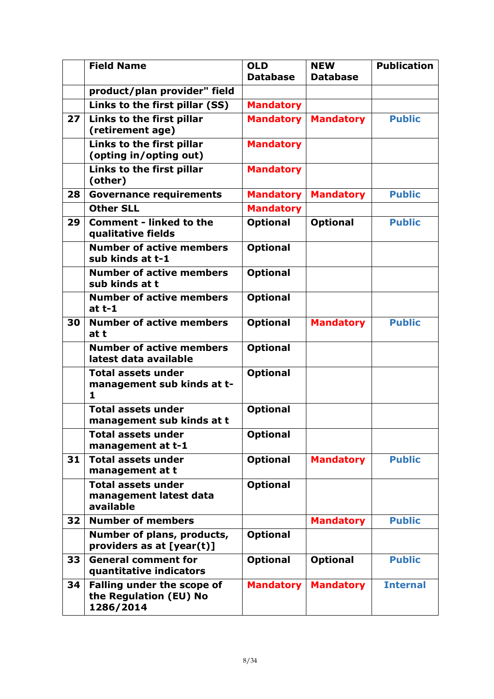|    | <b>Field Name</b>                                                        | <b>OLD</b>       | <b>NEW</b>       | <b>Publication</b> |
|----|--------------------------------------------------------------------------|------------------|------------------|--------------------|
|    |                                                                          | <b>Database</b>  | <b>Database</b>  |                    |
|    | product/plan provider" field                                             |                  |                  |                    |
|    | Links to the first pillar (SS)                                           | <b>Mandatory</b> |                  |                    |
| 27 | Links to the first pillar<br>(retirement age)                            | <b>Mandatory</b> | <b>Mandatory</b> | <b>Public</b>      |
|    | Links to the first pillar<br>(opting in/opting out)                      | <b>Mandatory</b> |                  |                    |
|    | Links to the first pillar<br>(other)                                     | <b>Mandatory</b> |                  |                    |
| 28 | <b>Governance requirements</b>                                           | <b>Mandatory</b> | <b>Mandatory</b> | <b>Public</b>      |
|    | <b>Other SLL</b>                                                         | <b>Mandatory</b> |                  |                    |
| 29 | <b>Comment - linked to the</b><br>qualitative fields                     | <b>Optional</b>  | <b>Optional</b>  | <b>Public</b>      |
|    | <b>Number of active members</b><br>sub kinds at t-1                      | <b>Optional</b>  |                  |                    |
|    | <b>Number of active members</b><br>sub kinds at t                        | <b>Optional</b>  |                  |                    |
|    | <b>Number of active members</b><br>at $t-1$                              | <b>Optional</b>  |                  |                    |
| 30 | <b>Number of active members</b><br>at t                                  | <b>Optional</b>  | <b>Mandatory</b> | <b>Public</b>      |
|    | <b>Number of active members</b><br>latest data available                 | <b>Optional</b>  |                  |                    |
|    | <b>Total assets under</b><br>management sub kinds at t-<br>1             | <b>Optional</b>  |                  |                    |
|    | <b>Total assets under</b><br>management sub kinds at t                   | <b>Optional</b>  |                  |                    |
|    | Total assets under<br>management at t-1                                  | <b>Optional</b>  |                  |                    |
| 31 | <b>Total assets under</b><br>management at t                             | <b>Optional</b>  | <b>Mandatory</b> | <b>Public</b>      |
|    | <b>Total assets under</b><br>management latest data<br>available         | <b>Optional</b>  |                  |                    |
| 32 | <b>Number of members</b>                                                 |                  | <b>Mandatory</b> | <b>Public</b>      |
|    | Number of plans, products,<br>providers as at [year(t)]                  | <b>Optional</b>  |                  |                    |
| 33 | <b>General comment for</b><br>quantitative indicators                    | <b>Optional</b>  | <b>Optional</b>  | <b>Public</b>      |
| 34 | <b>Falling under the scope of</b><br>the Regulation (EU) No<br>1286/2014 | <b>Mandatory</b> | <b>Mandatory</b> | <b>Internal</b>    |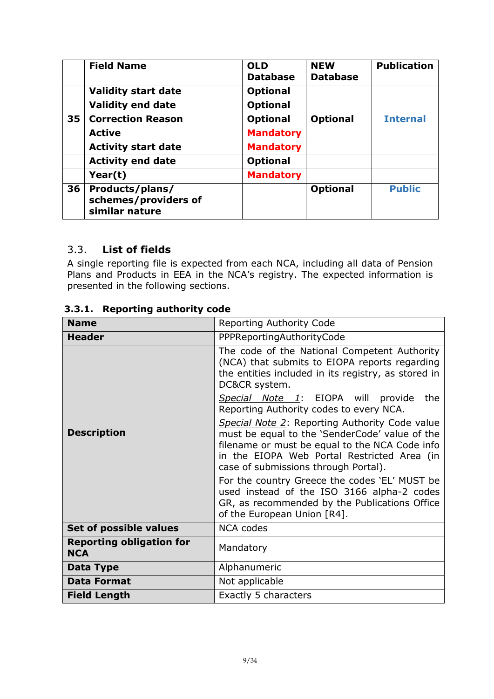|    | <b>Field Name</b>                                         | <b>OLD</b><br><b>Database</b> | <b>NEW</b><br><b>Database</b> | <b>Publication</b> |
|----|-----------------------------------------------------------|-------------------------------|-------------------------------|--------------------|
|    | <b>Validity start date</b>                                | <b>Optional</b>               |                               |                    |
|    | <b>Validity end date</b>                                  | <b>Optional</b>               |                               |                    |
| 35 | <b>Correction Reason</b>                                  | <b>Optional</b>               | <b>Optional</b>               | <b>Internal</b>    |
|    | <b>Active</b>                                             | <b>Mandatory</b>              |                               |                    |
|    | <b>Activity start date</b>                                | <b>Mandatory</b>              |                               |                    |
|    | <b>Activity end date</b>                                  | <b>Optional</b>               |                               |                    |
|    | Year(t)                                                   | <b>Mandatory</b>              |                               |                    |
| 36 | Products/plans/<br>schemes/providers of<br>similar nature |                               | <b>Optional</b>               | <b>Public</b>      |

#### <span id="page-8-0"></span>3.3. **List of fields**

A single reporting file is expected from each NCA, including all data of Pension Plans and Products in EEA in the NCA's registry. The expected information is presented in the following sections.

| <b>Name</b>                                   | Reporting Authority Code                                                                                                                                                                                                                  |
|-----------------------------------------------|-------------------------------------------------------------------------------------------------------------------------------------------------------------------------------------------------------------------------------------------|
| <b>Header</b>                                 | PPPReportingAuthorityCode                                                                                                                                                                                                                 |
|                                               | The code of the National Competent Authority<br>(NCA) that submits to EIOPA reports regarding<br>the entities included in its registry, as stored in<br>DC&CR system.                                                                     |
|                                               | Special Note 1: EIOPA will provide<br>the<br>Reporting Authority codes to every NCA.                                                                                                                                                      |
| <b>Description</b>                            | Special Note 2: Reporting Authority Code value<br>must be equal to the 'SenderCode' value of the<br>filename or must be equal to the NCA Code info<br>in the EIOPA Web Portal Restricted Area (in<br>case of submissions through Portal). |
|                                               | For the country Greece the codes 'EL' MUST be<br>used instead of the ISO 3166 alpha-2 codes<br>GR, as recommended by the Publications Office<br>of the European Union [R4].                                                               |
| Set of possible values                        | <b>NCA codes</b>                                                                                                                                                                                                                          |
| <b>Reporting obligation for</b><br><b>NCA</b> | Mandatory                                                                                                                                                                                                                                 |
| <b>Data Type</b>                              | Alphanumeric                                                                                                                                                                                                                              |
| <b>Data Format</b>                            | Not applicable                                                                                                                                                                                                                            |
| <b>Field Length</b>                           | Exactly 5 characters                                                                                                                                                                                                                      |

#### <span id="page-8-1"></span>**3.3.1. Reporting authority code**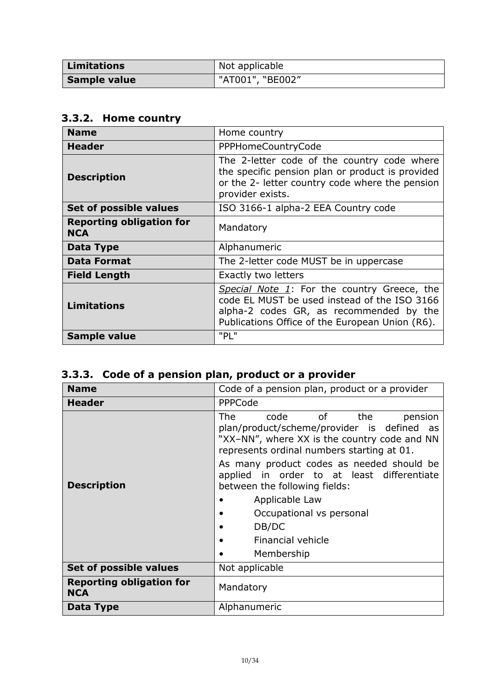| <b>Limitations</b> | Not applicable   |
|--------------------|------------------|
| Sample value       | "AT001", "BE002" |

# <span id="page-9-0"></span>**3.3.2. Home country**

| <b>Name</b>                                   | Home country                                                                                                                                                                              |  |
|-----------------------------------------------|-------------------------------------------------------------------------------------------------------------------------------------------------------------------------------------------|--|
| <b>Header</b>                                 | <b>PPPHomeCountryCode</b>                                                                                                                                                                 |  |
| <b>Description</b>                            | The 2-letter code of the country code where<br>the specific pension plan or product is provided<br>or the 2- letter country code where the pension<br>provider exists.                    |  |
| Set of possible values                        | ISO 3166-1 alpha-2 EEA Country code                                                                                                                                                       |  |
| <b>Reporting obligation for</b><br><b>NCA</b> | Mandatory                                                                                                                                                                                 |  |
| Data Type                                     | Alphanumeric                                                                                                                                                                              |  |
| <b>Data Format</b>                            | The 2-letter code MUST be in uppercase                                                                                                                                                    |  |
| <b>Field Length</b>                           | <b>Exactly two letters</b>                                                                                                                                                                |  |
| <b>Limitations</b>                            | Special Note 1: For the country Greece, the<br>code EL MUST be used instead of the ISO 3166<br>alpha-2 codes GR, as recommended by the<br>Publications Office of the European Union (R6). |  |
| Sample value                                  | "PL"                                                                                                                                                                                      |  |

# <span id="page-9-1"></span>**3.3.3. Code of a pension plan, product or a provider**

| <b>Name</b>                                   | Code of a pension plan, product or a provider                                                                                                                                   |
|-----------------------------------------------|---------------------------------------------------------------------------------------------------------------------------------------------------------------------------------|
| <b>Header</b>                                 | PPPCode                                                                                                                                                                         |
| <b>Description</b>                            | of<br>The<br>the<br>code<br>pension<br>plan/product/scheme/provider is defined as<br>"XX-NN", where XX is the country code and NN<br>represents ordinal numbers starting at 01. |
|                                               | As many product codes as needed should be<br>applied in order to at least differentiate<br>between the following fields:                                                        |
|                                               | Applicable Law                                                                                                                                                                  |
|                                               | Occupational vs personal                                                                                                                                                        |
|                                               | DB/DC                                                                                                                                                                           |
|                                               | <b>Financial vehicle</b>                                                                                                                                                        |
|                                               | Membership                                                                                                                                                                      |
| Set of possible values                        | Not applicable                                                                                                                                                                  |
| <b>Reporting obligation for</b><br><b>NCA</b> | Mandatory                                                                                                                                                                       |
| Data Type                                     | Alphanumeric                                                                                                                                                                    |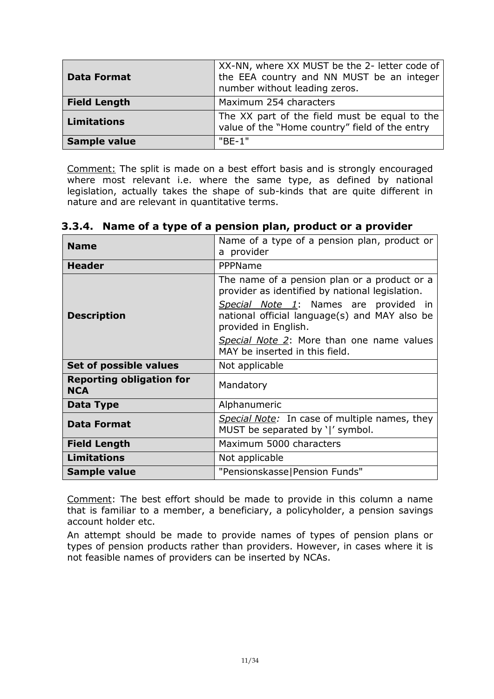| <b>Data Format</b>  | XX-NN, where XX MUST be the 2- letter code of<br>the EEA country and NN MUST be an integer<br>number without leading zeros. |
|---------------------|-----------------------------------------------------------------------------------------------------------------------------|
| <b>Field Length</b> | Maximum 254 characters                                                                                                      |
| <b>Limitations</b>  | The XX part of the field must be equal to the<br>value of the "Home country" field of the entry                             |
| <b>Sample value</b> | $"BF-1"$                                                                                                                    |

Comment: The split is made on a best effort basis and is strongly encouraged where most relevant i.e. where the same type, as defined by national legislation, actually takes the shape of sub-kinds that are quite different in nature and are relevant in quantitative terms.

| <b>Name</b>                                   | Name of a type of a pension plan, product or                                                                   |
|-----------------------------------------------|----------------------------------------------------------------------------------------------------------------|
|                                               | a provider                                                                                                     |
| <b>Header</b>                                 | PPPName                                                                                                        |
|                                               | The name of a pension plan or a product or a<br>provider as identified by national legislation.                |
| <b>Description</b>                            | Special Note 1: Names are provided in<br>national official language(s) and MAY also be<br>provided in English. |
|                                               | Special Note 2: More than one name values<br>MAY be inserted in this field.                                    |
| Set of possible values                        | Not applicable                                                                                                 |
| <b>Reporting obligation for</b><br><b>NCA</b> | Mandatory                                                                                                      |
| Data Type                                     | Alphanumeric                                                                                                   |
| <b>Data Format</b>                            | Special Note: In case of multiple names, they<br>MUST be separated by ' ' symbol.                              |
| <b>Field Length</b>                           | Maximum 5000 characters                                                                                        |
| <b>Limitations</b>                            | Not applicable                                                                                                 |
| Sample value                                  | "Pensionskasse Pension Funds"                                                                                  |

<span id="page-10-0"></span>

|  |  | 3.3.4. Name of a type of a pension plan, product or a provider |  |
|--|--|----------------------------------------------------------------|--|
|  |  |                                                                |  |

Comment: The best effort should be made to provide in this column a name that is familiar to a member, a beneficiary, a policyholder, a pension savings account holder etc.

An attempt should be made to provide names of types of pension plans or types of pension products rather than providers. However, in cases where it is not feasible names of providers can be inserted by NCAs.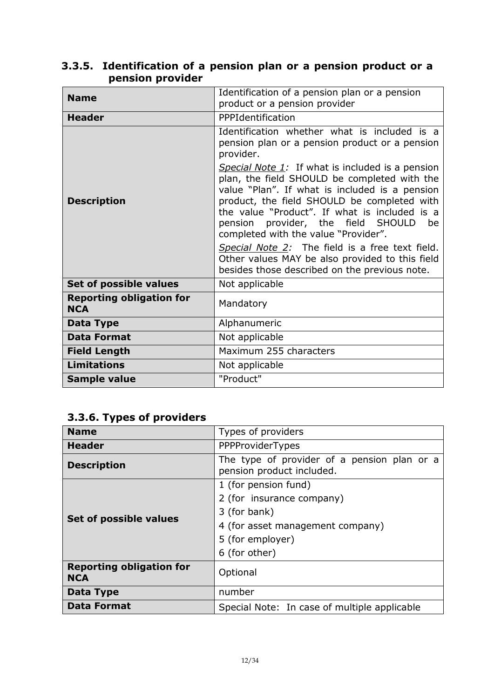| <b>Name</b>                                   | Identification of a pension plan or a pension<br>product or a pension provider                                                                                                                                                                                                                                                         |
|-----------------------------------------------|----------------------------------------------------------------------------------------------------------------------------------------------------------------------------------------------------------------------------------------------------------------------------------------------------------------------------------------|
| <b>Header</b>                                 | PPPIdentification                                                                                                                                                                                                                                                                                                                      |
|                                               | Identification whether what is included is a<br>pension plan or a pension product or a pension<br>provider.                                                                                                                                                                                                                            |
| <b>Description</b>                            | Special Note 1: If what is included is a pension<br>plan, the field SHOULD be completed with the<br>value "Plan". If what is included is a pension<br>product, the field SHOULD be completed with<br>the value "Product". If what is included is a<br>pension provider, the field SHOULD<br>be<br>completed with the value "Provider". |
|                                               | Special Note 2: The field is a free text field.<br>Other values MAY be also provided to this field<br>besides those described on the previous note.                                                                                                                                                                                    |
| Set of possible values                        | Not applicable                                                                                                                                                                                                                                                                                                                         |
| <b>Reporting obligation for</b><br><b>NCA</b> | Mandatory                                                                                                                                                                                                                                                                                                                              |
| Data Type                                     | Alphanumeric                                                                                                                                                                                                                                                                                                                           |
| <b>Data Format</b>                            | Not applicable                                                                                                                                                                                                                                                                                                                         |
| <b>Field Length</b>                           | Maximum 255 characters                                                                                                                                                                                                                                                                                                                 |
| <b>Limitations</b>                            | Not applicable                                                                                                                                                                                                                                                                                                                         |
| <b>Sample value</b>                           | "Product"                                                                                                                                                                                                                                                                                                                              |

### <span id="page-11-0"></span>**3.3.5. Identification of a pension plan or a pension product or a pension provider**

# <span id="page-11-1"></span>**3.3.6. Types of providers**

| <b>Name</b>                                   | Types of providers                                                       |
|-----------------------------------------------|--------------------------------------------------------------------------|
| <b>Header</b>                                 | PPPProviderTypes                                                         |
| <b>Description</b>                            | The type of provider of a pension plan or a<br>pension product included. |
| Set of possible values                        | 1 (for pension fund)                                                     |
|                                               | 2 (for insurance company)                                                |
|                                               | 3 (for bank)                                                             |
|                                               | 4 (for asset management company)                                         |
|                                               | 5 (for employer)                                                         |
|                                               | 6 (for other)                                                            |
| <b>Reporting obligation for</b><br><b>NCA</b> | Optional                                                                 |
| Data Type                                     | number                                                                   |
| <b>Data Format</b>                            | Special Note: In case of multiple applicable                             |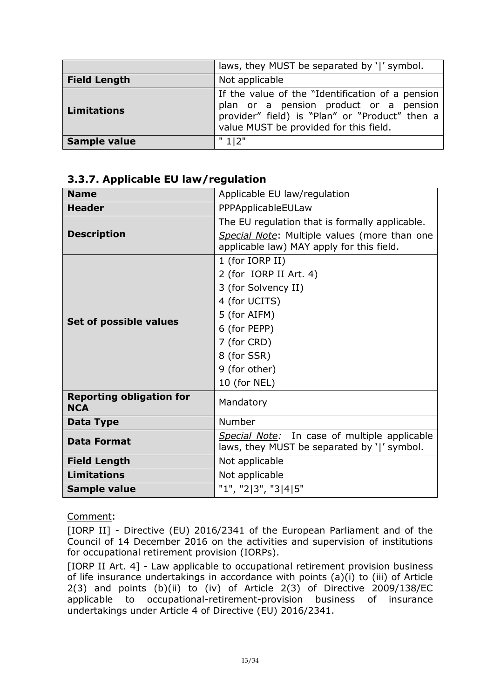|                     | laws, they MUST be separated by ' ' symbol.                                                                                                                                            |
|---------------------|----------------------------------------------------------------------------------------------------------------------------------------------------------------------------------------|
| <b>Field Length</b> | Not applicable                                                                                                                                                                         |
| <b>Limitations</b>  | If the value of the "Identification of a pension<br>plan or a pension product or a pension<br>provider" field) is "Plan" or "Product" then a<br>value MUST be provided for this field. |
| Sample value        | " 112"                                                                                                                                                                                 |

#### <span id="page-12-0"></span>**3.3.7. Applicable EU law/regulation**

| <b>Name</b>                                   | Applicable EU law/regulation                                                                                                                                                     |  |
|-----------------------------------------------|----------------------------------------------------------------------------------------------------------------------------------------------------------------------------------|--|
| <b>Header</b>                                 | PPPApplicableEULaw                                                                                                                                                               |  |
| <b>Description</b>                            | The EU regulation that is formally applicable.<br>Special Note: Multiple values (more than one<br>applicable law) MAY apply for this field.                                      |  |
| Set of possible values                        | 1 (for IORP II)<br>2 (for IORP II Art. 4)<br>3 (for Solvency II)<br>4 (for UCITS)<br>5 (for AIFM)<br>6 (for PEPP)<br>7 (for CRD)<br>8 (for SSR)<br>9 (for other)<br>10 (for NEL) |  |
| <b>Reporting obligation for</b><br><b>NCA</b> | Mandatory                                                                                                                                                                        |  |
| Data Type                                     | Number                                                                                                                                                                           |  |
| <b>Data Format</b>                            | Special Note: In case of multiple applicable<br>laws, they MUST be separated by ' ' symbol.                                                                                      |  |
| <b>Field Length</b>                           | Not applicable                                                                                                                                                                   |  |
| <b>Limitations</b>                            | Not applicable                                                                                                                                                                   |  |
| Sample value                                  | "1", "2 3", "3 4 5"                                                                                                                                                              |  |

Comment:

[IORP II] - Directive (EU) 2016/2341 of the European Parliament and of the Council of 14 December 2016 on the activities and supervision of institutions for occupational retirement provision (IORPs).

[IORP II Art. 4] - Law applicable to occupational retirement provision business of life insurance undertakings in accordance with points (a)(i) to (iii) of Article 2(3) and points (b)(ii) to (iv) of Article 2(3) of Directive 2009/138/EC applicable to occupational-retirement-provision business of insurance undertakings under Article 4 of Directive (EU) 2016/2341.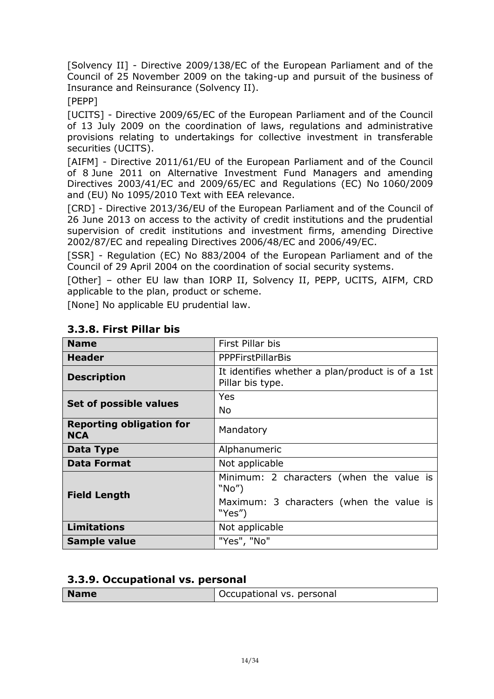[Solvency II] - Directive 2009/138/EC of the European Parliament and of the Council of 25 November 2009 on the taking-up and pursuit of the business of Insurance and Reinsurance (Solvency II).

#### [PEPP]

[UCITS] - Directive 2009/65/EC of the European Parliament and of the Council of 13 July 2009 on the coordination of laws, regulations and administrative provisions relating to undertakings for collective investment in transferable securities (UCITS).

[AIFM] - Directive 2011/61/EU of the European Parliament and of the Council of 8 June 2011 on Alternative Investment Fund Managers and amending Directives 2003/41/EC and 2009/65/EC and Regulations (EC) No 1060/2009 and (EU) No 1095/2010 Text with EEA relevance.

[CRD] - Directive 2013/36/EU of the European Parliament and of the Council of 26 June 2013 on access to the activity of credit institutions and the prudential supervision of credit institutions and investment firms, amending Directive 2002/87/EC and repealing Directives 2006/48/EC and 2006/49/EC.

[SSR] - Regulation (EC) No 883/2004 of the European Parliament and of the Council of 29 April 2004 on the coordination of social security systems.

[Other] – other EU law than IORP II, Solvency II, PEPP, UCITS, AIFM, CRD applicable to the plan, product or scheme.

[None] No applicable EU prudential law.

| <b>Name</b>                                   | First Pillar bis                                                     |  |
|-----------------------------------------------|----------------------------------------------------------------------|--|
| <b>Header</b>                                 | <b>PPPFirstPillarBis</b>                                             |  |
| <b>Description</b>                            | It identifies whether a plan/product is of a 1st<br>Pillar bis type. |  |
| Set of possible values                        | Yes                                                                  |  |
|                                               | <b>No</b>                                                            |  |
| <b>Reporting obligation for</b><br><b>NCA</b> | Mandatory                                                            |  |
| Data Type                                     | Alphanumeric                                                         |  |
| <b>Data Format</b>                            | Not applicable                                                       |  |
| <b>Field Length</b>                           | Minimum: 2 characters (when the value is<br>"No"                     |  |
|                                               | Maximum: 3 characters (when the value is<br>"Yes")                   |  |
| <b>Limitations</b>                            | Not applicable                                                       |  |
| Sample value                                  | "Yes", "No"                                                          |  |

# <span id="page-13-0"></span>**3.3.8. First Pillar bis**

#### <span id="page-13-1"></span>**3.3.9. Occupational vs. personal**

|  | Occupational vs. personal<br><b>Name</b> |  |
|--|------------------------------------------|--|
|--|------------------------------------------|--|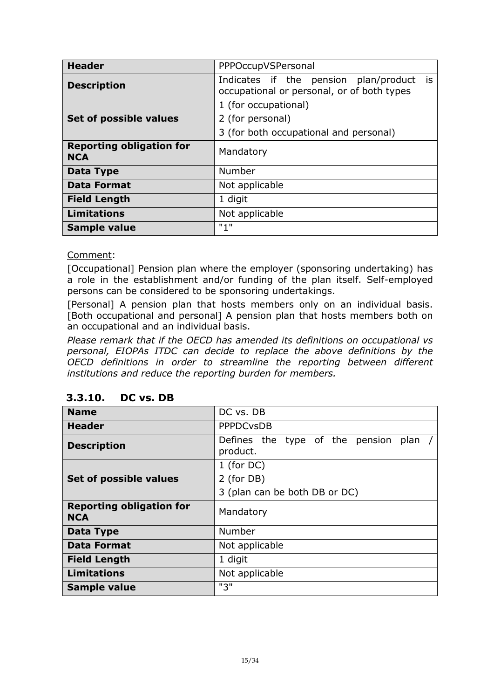| <b>Header</b>                                 | PPPOccupVSPersonal                                                                        |
|-----------------------------------------------|-------------------------------------------------------------------------------------------|
| <b>Description</b>                            | Indicates if the pension plan/product<br>is<br>occupational or personal, or of both types |
|                                               | 1 (for occupational)                                                                      |
| Set of possible values                        | 2 (for personal)                                                                          |
|                                               | 3 (for both occupational and personal)                                                    |
| <b>Reporting obligation for</b><br><b>NCA</b> | Mandatory                                                                                 |
| Data Type                                     | Number                                                                                    |
| <b>Data Format</b>                            | Not applicable                                                                            |
| <b>Field Length</b>                           | 1 digit                                                                                   |
| <b>Limitations</b>                            | Not applicable                                                                            |
| Sample value                                  | "1"                                                                                       |

Comment:

[Occupational] Pension plan where the employer (sponsoring undertaking) has a role in the establishment and/or funding of the plan itself. Self-employed persons can be considered to be sponsoring undertakings.

[Personal] A pension plan that hosts members only on an individual basis. [Both occupational and personal] A pension plan that hosts members both on an occupational and an individual basis.

*Please remark that if the OECD has amended its definitions on occupational vs personal, EIOPAs ITDC can decide to replace the above definitions by the OECD definitions in order to streamline the reporting between different institutions and reduce the reporting burden for members.*

| <b>Name</b>                                   | DC vs. DB                                           |
|-----------------------------------------------|-----------------------------------------------------|
| Header                                        | <b>PPPDCvsDB</b>                                    |
| <b>Description</b>                            | Defines the type of the pension<br>plan<br>product. |
|                                               | 1 (for $DC$ )                                       |
| Set of possible values                        | 2 (for DB)                                          |
|                                               | 3 (plan can be both DB or DC)                       |
| <b>Reporting obligation for</b><br><b>NCA</b> | Mandatory                                           |
| Data Type                                     | Number                                              |
| <b>Data Format</b>                            | Not applicable                                      |
| <b>Field Length</b>                           | 1 digit                                             |
| <b>Limitations</b>                            | Not applicable                                      |
| Sample value                                  | "3"                                                 |

#### <span id="page-14-0"></span>**3.3.10. DC vs. DB**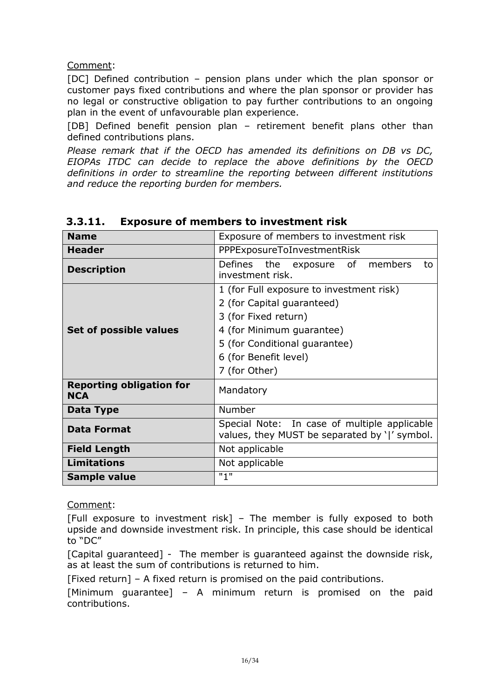#### Comment:

[DC] Defined contribution – pension plans under which the plan sponsor or customer pays fixed contributions and where the plan sponsor or provider has no legal or constructive obligation to pay further contributions to an ongoing plan in the event of unfavourable plan experience.

[DB] Defined benefit pension plan – retirement benefit plans other than defined contributions plans.

*Please remark that if the OECD has amended its definitions on DB vs DC, EIOPAs ITDC can decide to replace the above definitions by the OECD definitions in order to streamline the reporting between different institutions and reduce the reporting burden for members.*

| <b>Name</b>                                   | Exposure of members to investment risk                                                                                                                                                                 |  |  |
|-----------------------------------------------|--------------------------------------------------------------------------------------------------------------------------------------------------------------------------------------------------------|--|--|
| <b>Header</b>                                 | PPPExposureToInvestmentRisk                                                                                                                                                                            |  |  |
| <b>Description</b>                            | Defines the exposure of members<br>to<br>investment risk.                                                                                                                                              |  |  |
| Set of possible values                        | 1 (for Full exposure to investment risk)<br>2 (for Capital guaranteed)<br>3 (for Fixed return)<br>4 (for Minimum guarantee)<br>5 (for Conditional guarantee)<br>6 (for Benefit level)<br>7 (for Other) |  |  |
| <b>Reporting obligation for</b><br><b>NCA</b> | Mandatory                                                                                                                                                                                              |  |  |
| <b>Data Type</b>                              | Number                                                                                                                                                                                                 |  |  |
| <b>Data Format</b>                            | Special Note: In case of multiple applicable<br>values, they MUST be separated by ' ' symbol.                                                                                                          |  |  |
| <b>Field Length</b>                           | Not applicable                                                                                                                                                                                         |  |  |
| <b>Limitations</b>                            | Not applicable                                                                                                                                                                                         |  |  |
| Sample value                                  | "1"                                                                                                                                                                                                    |  |  |

#### <span id="page-15-0"></span>**3.3.11. Exposure of members to investment risk**

Comment:

[Full exposure to investment risk] – The member is fully exposed to both upside and downside investment risk. In principle, this case should be identical to "DC"

[Capital guaranteed] - The member is guaranteed against the downside risk, as at least the sum of contributions is returned to him.

[Fixed return] – A fixed return is promised on the paid contributions.

[Minimum guarantee] – A minimum return is promised on the paid contributions.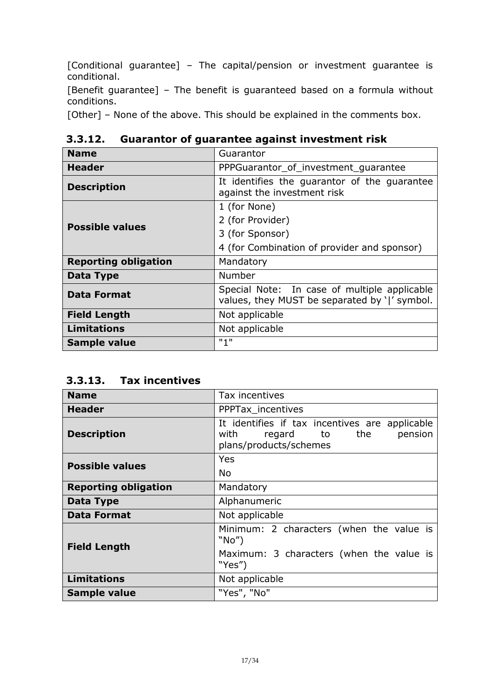[Conditional guarantee] – The capital/pension or investment guarantee is conditional.

[Benefit guarantee] – The benefit is guaranteed based on a formula without conditions.

[Other] - None of the above. This should be explained in the comments box.

| <b>Name</b>                 | Guarantor                                                                                     |  |
|-----------------------------|-----------------------------------------------------------------------------------------------|--|
| <b>Header</b>               | PPPGuarantor of investment quarantee                                                          |  |
| <b>Description</b>          | It identifies the guarantor of the guarantee<br>against the investment risk                   |  |
|                             | 1 (for None)                                                                                  |  |
| <b>Possible values</b>      | 2 (for Provider)                                                                              |  |
|                             | 3 (for Sponsor)                                                                               |  |
|                             | 4 (for Combination of provider and sponsor)                                                   |  |
| <b>Reporting obligation</b> | Mandatory                                                                                     |  |
| Data Type                   | Number                                                                                        |  |
| <b>Data Format</b>          | Special Note: In case of multiple applicable<br>values, they MUST be separated by ' ' symbol. |  |
| <b>Field Length</b>         | Not applicable                                                                                |  |
| <b>Limitations</b>          | Not applicable                                                                                |  |
| <b>Sample value</b>         | "1"                                                                                           |  |

<span id="page-16-0"></span>**3.3.12. Guarantor of guarantee against investment risk**

<span id="page-16-1"></span>**3.3.13. Tax incentives**

| <b>Name</b>                 | Tax incentives                                                                                                  |
|-----------------------------|-----------------------------------------------------------------------------------------------------------------|
| <b>Header</b>               | PPPTax_incentives                                                                                               |
| <b>Description</b>          | It identifies if tax incentives are applicable<br>pension<br>with<br>regard to<br>the<br>plans/products/schemes |
| <b>Possible values</b>      | Yes                                                                                                             |
|                             | No                                                                                                              |
| <b>Reporting obligation</b> | Mandatory                                                                                                       |
| Data Type                   | Alphanumeric                                                                                                    |
| <b>Data Format</b>          | Not applicable                                                                                                  |
| <b>Field Length</b>         | Minimum: 2 characters (when the value is<br>"No"                                                                |
|                             | Maximum: 3 characters (when the value is<br>"Yes")                                                              |
| <b>Limitations</b>          | Not applicable                                                                                                  |
| <b>Sample value</b>         | "Yes", "No"                                                                                                     |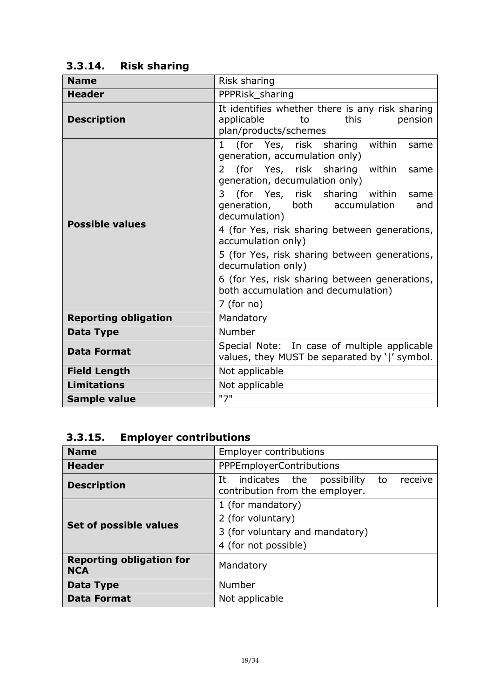# <span id="page-17-0"></span>**3.3.14. Risk sharing**

| <b>Name</b>                 | Risk sharing                                                                                                                                      |
|-----------------------------|---------------------------------------------------------------------------------------------------------------------------------------------------|
| <b>Header</b>               | PPPRisk_sharing                                                                                                                                   |
| <b>Description</b>          | It identifies whether there is any risk sharing<br>applicable<br>this<br>pension<br>to<br>plan/products/schemes                                   |
|                             | (for Yes, risk sharing within<br>$\mathbf{1}$<br>same<br>generation, accumulation only)<br>(for Yes, risk sharing within<br>$\mathcal{L}$<br>same |
|                             | generation, decumulation only)                                                                                                                    |
| <b>Possible values</b>      | (for Yes, risk sharing within<br>3<br>same<br>generation, both<br>accumulation<br>and<br>decumulation)                                            |
|                             | 4 (for Yes, risk sharing between generations,<br>accumulation only)                                                                               |
|                             | 5 (for Yes, risk sharing between generations,<br>decumulation only)                                                                               |
|                             | 6 (for Yes, risk sharing between generations,<br>both accumulation and decumulation)                                                              |
|                             | $7$ (for no)                                                                                                                                      |
| <b>Reporting obligation</b> | Mandatory                                                                                                                                         |
| Data Type                   | Number                                                                                                                                            |
| <b>Data Format</b>          | Special Note: In case of multiple applicable<br>values, they MUST be separated by ' ' symbol.                                                     |
| <b>Field Length</b>         | Not applicable                                                                                                                                    |
| <b>Limitations</b>          | Not applicable                                                                                                                                    |
| <b>Sample value</b>         | "7"                                                                                                                                               |

# <span id="page-17-1"></span>**3.3.15. Employer contributions**

| <b>Name</b>                                   | <b>Employer contributions</b>                                                                     |
|-----------------------------------------------|---------------------------------------------------------------------------------------------------|
| <b>Header</b>                                 | <b>PPPEmployerContributions</b>                                                                   |
| <b>Description</b>                            | possibility<br>indicates the<br>receive<br>It<br>to<br>contribution from the employer.            |
| Set of possible values                        | 1 (for mandatory)<br>2 (for voluntary)<br>3 (for voluntary and mandatory)<br>4 (for not possible) |
| <b>Reporting obligation for</b><br><b>NCA</b> | Mandatory                                                                                         |
| Data Type                                     | Number                                                                                            |
| <b>Data Format</b>                            | Not applicable                                                                                    |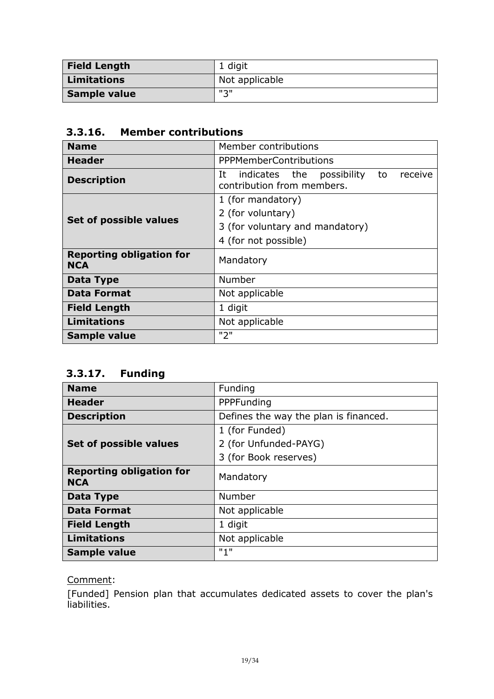| <b>Field Length</b> | 1 digit        |
|---------------------|----------------|
| <b>Limitations</b>  | Not applicable |
| Sample value        | ייציי          |

### <span id="page-18-0"></span>**3.3.16. Member contributions**

| <b>Name</b>                                   | Member contributions                                                              |
|-----------------------------------------------|-----------------------------------------------------------------------------------|
| Header                                        | <b>PPPMemberContributions</b>                                                     |
| <b>Description</b>                            | It<br>indicates the<br>possibility<br>receive<br>to<br>contribution from members. |
|                                               | 1 (for mandatory)                                                                 |
|                                               | 2 (for voluntary)                                                                 |
| Set of possible values                        | 3 (for voluntary and mandatory)                                                   |
|                                               | 4 (for not possible)                                                              |
| <b>Reporting obligation for</b><br><b>NCA</b> | Mandatory                                                                         |
| Data Type                                     | Number                                                                            |
| <b>Data Format</b>                            | Not applicable                                                                    |
| <b>Field Length</b>                           | 1 digit                                                                           |
| <b>Limitations</b>                            | Not applicable                                                                    |
| Sample value                                  | "2"                                                                               |

# <span id="page-18-1"></span>**3.3.17. Funding**

| <b>Name</b>                                   | Funding                               |
|-----------------------------------------------|---------------------------------------|
| <b>Header</b>                                 | PPPFunding                            |
| <b>Description</b>                            | Defines the way the plan is financed. |
|                                               | 1 (for Funded)                        |
| Set of possible values                        | 2 (for Unfunded-PAYG)                 |
|                                               | 3 (for Book reserves)                 |
| <b>Reporting obligation for</b><br><b>NCA</b> | Mandatory                             |
| Data Type                                     | Number                                |
| <b>Data Format</b>                            | Not applicable                        |
| <b>Field Length</b>                           | 1 digit                               |
| <b>Limitations</b>                            | Not applicable                        |
| <b>Sample value</b>                           | "1"                                   |

### Comment:

[Funded] Pension plan that accumulates dedicated assets to cover the plan's liabilities.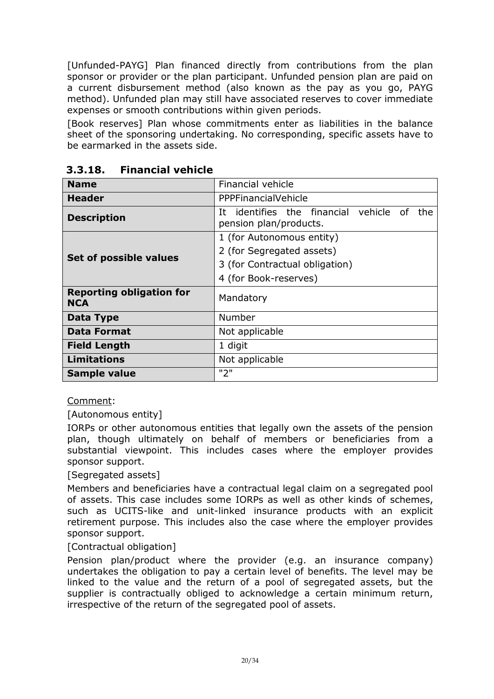[Unfunded-PAYG] Plan financed directly from contributions from the plan sponsor or provider or the plan participant. Unfunded pension plan are paid on a current disbursement method (also known as the pay as you go, PAYG method). Unfunded plan may still have associated reserves to cover immediate expenses or smooth contributions within given periods.

[Book reserves] Plan whose commitments enter as liabilities in the balance sheet of the sponsoring undertaking. No corresponding, specific assets have to be earmarked in the assets side.

| <b>Name</b>                                   | <b>Financial vehicle</b>                                                    |
|-----------------------------------------------|-----------------------------------------------------------------------------|
| <b>Header</b>                                 | PPPFinancialVehicle                                                         |
| <b>Description</b>                            | identifies the financial vehicle of<br>Ιt<br>the.<br>pension plan/products. |
|                                               | 1 (for Autonomous entity)                                                   |
|                                               | 2 (for Segregated assets)                                                   |
| Set of possible values                        | 3 (for Contractual obligation)                                              |
|                                               | 4 (for Book-reserves)                                                       |
| <b>Reporting obligation for</b><br><b>NCA</b> | Mandatory                                                                   |
| Data Type                                     | Number                                                                      |
| <b>Data Format</b>                            | Not applicable                                                              |
| <b>Field Length</b>                           | 1 digit                                                                     |
| <b>Limitations</b>                            | Not applicable                                                              |
| <b>Sample value</b>                           | "2"                                                                         |

### <span id="page-19-0"></span>**3.3.18. Financial vehicle**

Comment:

[Autonomous entity]

IORPs or other autonomous entities that legally own the assets of the pension plan, though ultimately on behalf of members or beneficiaries from a substantial viewpoint. This includes cases where the employer provides sponsor support.

#### [Segregated assets]

Members and beneficiaries have a contractual legal claim on a segregated pool of assets. This case includes some IORPs as well as other kinds of schemes, such as UCITS-like and unit-linked insurance products with an explicit retirement purpose. This includes also the case where the employer provides sponsor support.

#### [Contractual obligation]

Pension plan/product where the provider (e.g. an insurance company) undertakes the obligation to pay a certain level of benefits. The level may be linked to the value and the return of a pool of segregated assets, but the supplier is contractually obliged to acknowledge a certain minimum return, irrespective of the return of the segregated pool of assets.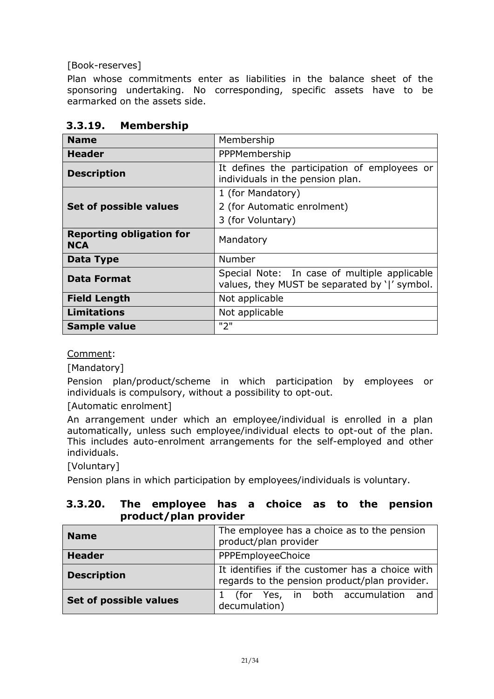[Book-reserves]

Plan whose commitments enter as liabilities in the balance sheet of the sponsoring undertaking. No corresponding, specific assets have to be earmarked on the assets side.

| <b>Name</b>                                   | Membership                                                                                    |
|-----------------------------------------------|-----------------------------------------------------------------------------------------------|
| <b>Header</b>                                 | PPPMembership                                                                                 |
| <b>Description</b>                            | It defines the participation of employees or<br>individuals in the pension plan.              |
|                                               | 1 (for Mandatory)                                                                             |
| Set of possible values                        | 2 (for Automatic enrolment)                                                                   |
|                                               | 3 (for Voluntary)                                                                             |
| <b>Reporting obligation for</b><br><b>NCA</b> | Mandatory                                                                                     |
| Data Type                                     | Number                                                                                        |
| <b>Data Format</b>                            | Special Note: In case of multiple applicable<br>values, they MUST be separated by ' ' symbol. |
| <b>Field Length</b>                           | Not applicable                                                                                |
| <b>Limitations</b>                            | Not applicable                                                                                |
| <b>Sample value</b>                           | "2"                                                                                           |

### <span id="page-20-0"></span>**3.3.19. Membership**

Comment:

[Mandatory]

Pension plan/product/scheme in which participation by employees or individuals is compulsory, without a possibility to opt-out.

[Automatic enrolment]

An arrangement under which an employee/individual is enrolled in a plan automatically, unless such employee/individual elects to opt-out of the plan. This includes auto-enrolment arrangements for the self-employed and other individuals.

[Voluntary]

Pension plans in which participation by employees/individuals is voluntary.

#### <span id="page-20-1"></span>**3.3.20. The employee has a choice as to the pension product/plan provider**

| <b>Name</b>            | The employee has a choice as to the pension<br>product/plan provider                             |
|------------------------|--------------------------------------------------------------------------------------------------|
| <b>Header</b>          | PPPEmployeeChoice                                                                                |
| <b>Description</b>     | It identifies if the customer has a choice with<br>regards to the pension product/plan provider. |
| Set of possible values | 1 (for Yes, in both accumulation<br>and<br>decumulation)                                         |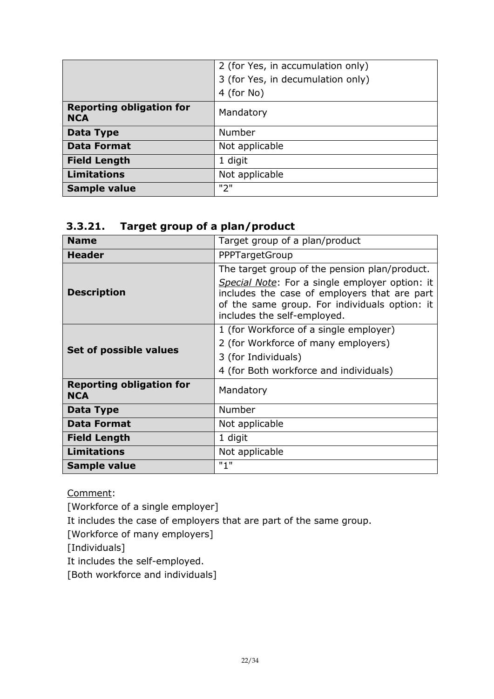|                                               | 2 (for Yes, in accumulation only) |
|-----------------------------------------------|-----------------------------------|
|                                               | 3 (for Yes, in decumulation only) |
|                                               | 4 (for No)                        |
| <b>Reporting obligation for</b><br><b>NCA</b> | Mandatory                         |
| <b>Data Type</b>                              | <b>Number</b>                     |
| <b>Data Format</b>                            | Not applicable                    |
| <b>Field Length</b>                           | 1 digit                           |
| <b>Limitations</b>                            | Not applicable                    |
| <b>Sample value</b>                           | "2"                               |

#### <span id="page-21-0"></span>**3.3.21. Target group of a plan/product**

| <b>Name</b>                                   | Target group of a plan/product                                                                                                                                                                                                  |
|-----------------------------------------------|---------------------------------------------------------------------------------------------------------------------------------------------------------------------------------------------------------------------------------|
| <b>Header</b>                                 | PPPTargetGroup                                                                                                                                                                                                                  |
| <b>Description</b>                            | The target group of the pension plan/product.<br>Special Note: For a single employer option: it<br>includes the case of employers that are part<br>of the same group. For individuals option: it<br>includes the self-employed. |
| Set of possible values                        | 1 (for Workforce of a single employer)<br>2 (for Workforce of many employers)<br>3 (for Individuals)<br>4 (for Both workforce and individuals)                                                                                  |
| <b>Reporting obligation for</b><br><b>NCA</b> | Mandatory                                                                                                                                                                                                                       |
| Data Type                                     | Number                                                                                                                                                                                                                          |
| <b>Data Format</b>                            | Not applicable                                                                                                                                                                                                                  |
| <b>Field Length</b>                           | 1 digit                                                                                                                                                                                                                         |
| <b>Limitations</b>                            | Not applicable                                                                                                                                                                                                                  |
| Sample value                                  | "1"                                                                                                                                                                                                                             |

Comment:

[Workforce of a single employer]

It includes the case of employers that are part of the same group.

[Workforce of many employers]

[Individuals]

It includes the self-employed.

[Both workforce and individuals]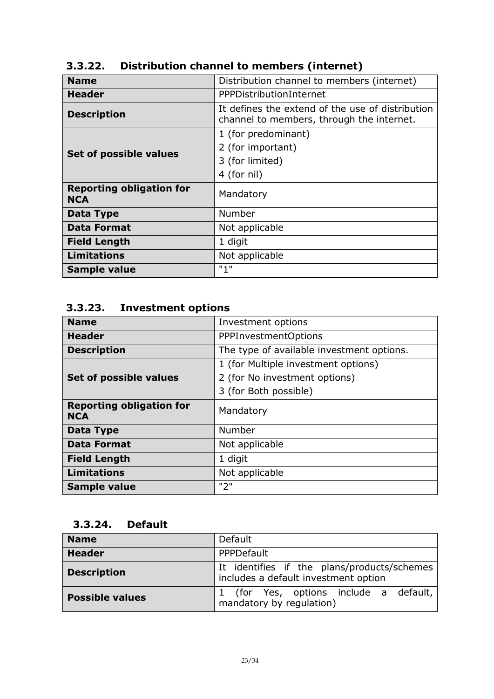| <b>Name</b>                                   | Distribution channel to members (internet)                                                    |
|-----------------------------------------------|-----------------------------------------------------------------------------------------------|
| <b>Header</b>                                 | PPPDistributionInternet                                                                       |
| <b>Description</b>                            | It defines the extend of the use of distribution<br>channel to members, through the internet. |
|                                               | 1 (for predominant)                                                                           |
|                                               | 2 (for important)                                                                             |
| Set of possible values                        | 3 (for limited)                                                                               |
|                                               | 4 (for nil)                                                                                   |
| <b>Reporting obligation for</b><br><b>NCA</b> | Mandatory                                                                                     |
| Data Type                                     | Number                                                                                        |
| <b>Data Format</b>                            | Not applicable                                                                                |
| <b>Field Length</b>                           | 1 digit                                                                                       |
| <b>Limitations</b>                            | Not applicable                                                                                |
| Sample value                                  | "1"                                                                                           |

# <span id="page-22-0"></span>**3.3.22. Distribution channel to members (internet)**

# <span id="page-22-1"></span>**3.3.23. Investment options**

| <b>Name</b>                                   | Investment options                        |
|-----------------------------------------------|-------------------------------------------|
| <b>Header</b>                                 | <b>PPPInvestmentOptions</b>               |
| <b>Description</b>                            | The type of available investment options. |
|                                               | 1 (for Multiple investment options)       |
| Set of possible values                        | 2 (for No investment options)             |
|                                               | 3 (for Both possible)                     |
| <b>Reporting obligation for</b><br><b>NCA</b> | Mandatory                                 |
| Data Type                                     | Number                                    |
| <b>Data Format</b>                            | Not applicable                            |
| <b>Field Length</b>                           | 1 digit                                   |
| <b>Limitations</b>                            | Not applicable                            |
| Sample value                                  | "2"                                       |

# <span id="page-22-2"></span>**3.3.24. Default**

| <b>Name</b>            | Default                                                                             |  |  |  |  |  |  |  |
|------------------------|-------------------------------------------------------------------------------------|--|--|--|--|--|--|--|
| <b>Header</b>          | PPPDefault                                                                          |  |  |  |  |  |  |  |
| <b>Description</b>     | It identifies if the plans/products/schemes<br>includes a default investment option |  |  |  |  |  |  |  |
| <b>Possible values</b> | 1 (for Yes, options include a default,<br>mandatory by regulation)                  |  |  |  |  |  |  |  |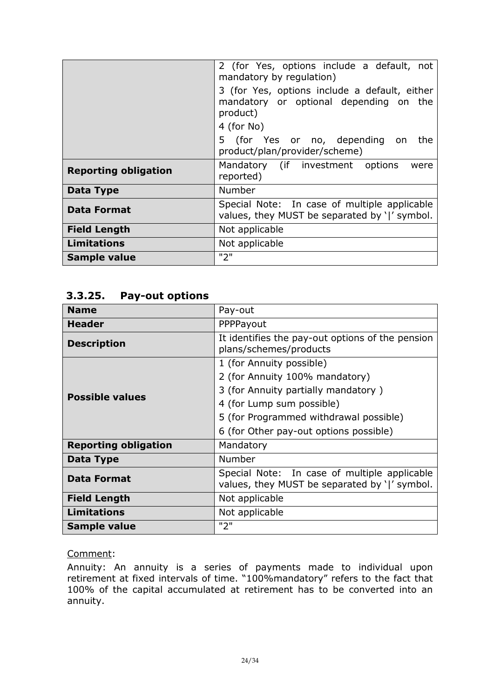|                             | 2 (for Yes, options include a default, not<br>mandatory by regulation)                                            |  |  |  |  |  |  |  |
|-----------------------------|-------------------------------------------------------------------------------------------------------------------|--|--|--|--|--|--|--|
|                             | 3 (for Yes, options include a default, either<br>mandatory or optional depending on the<br>product)<br>4 (for No) |  |  |  |  |  |  |  |
|                             | 5 (for Yes or no, depending on<br>the<br>product/plan/provider/scheme)                                            |  |  |  |  |  |  |  |
| <b>Reporting obligation</b> | Mandatory (if investment options<br>were<br>reported)                                                             |  |  |  |  |  |  |  |
| Data Type                   | Number                                                                                                            |  |  |  |  |  |  |  |
| <b>Data Format</b>          | Special Note: In case of multiple applicable<br>values, they MUST be separated by ' ' symbol.                     |  |  |  |  |  |  |  |
| <b>Field Length</b>         | Not applicable                                                                                                    |  |  |  |  |  |  |  |
| <b>Limitations</b>          | Not applicable                                                                                                    |  |  |  |  |  |  |  |
| <b>Sample value</b>         | "2"                                                                                                               |  |  |  |  |  |  |  |

#### <span id="page-23-0"></span>**3.3.25. Pay-out options**

| <b>Name</b>                 | Pay-out                                                                                       |  |  |  |  |  |
|-----------------------------|-----------------------------------------------------------------------------------------------|--|--|--|--|--|
| <b>Header</b>               | PPPPayout                                                                                     |  |  |  |  |  |
| <b>Description</b>          | It identifies the pay-out options of the pension<br>plans/schemes/products                    |  |  |  |  |  |
|                             | 1 (for Annuity possible)                                                                      |  |  |  |  |  |
|                             | 2 (for Annuity 100% mandatory)                                                                |  |  |  |  |  |
| <b>Possible values</b>      | 3 (for Annuity partially mandatory)                                                           |  |  |  |  |  |
|                             | 4 (for Lump sum possible)                                                                     |  |  |  |  |  |
|                             | 5 (for Programmed withdrawal possible)                                                        |  |  |  |  |  |
|                             | 6 (for Other pay-out options possible)                                                        |  |  |  |  |  |
| <b>Reporting obligation</b> | Mandatory                                                                                     |  |  |  |  |  |
| <b>Data Type</b>            | Number                                                                                        |  |  |  |  |  |
| <b>Data Format</b>          | Special Note: In case of multiple applicable<br>values, they MUST be separated by ' ' symbol. |  |  |  |  |  |
| <b>Field Length</b>         | Not applicable                                                                                |  |  |  |  |  |
| <b>Limitations</b>          | Not applicable                                                                                |  |  |  |  |  |
| Sample value                | "2"                                                                                           |  |  |  |  |  |

#### Comment:

Annuity: An annuity is a series of payments made to individual upon retirement at fixed intervals of time. "100%mandatory" refers to the fact that 100% of the capital accumulated at retirement has to be converted into an annuity.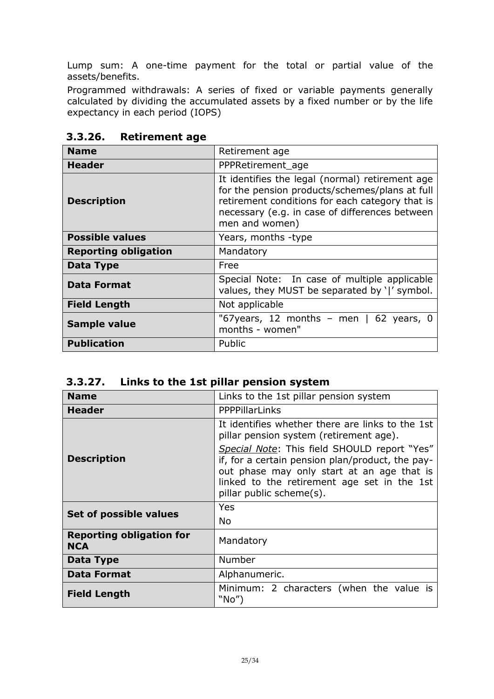Lump sum: A one-time payment for the total or partial value of the assets/benefits.

Programmed withdrawals: A series of fixed or variable payments generally calculated by dividing the accumulated assets by a fixed number or by the life expectancy in each period (IOPS)

| <b>Name</b>                 | Retirement age                                                                                                                                                                                                           |  |  |  |  |  |
|-----------------------------|--------------------------------------------------------------------------------------------------------------------------------------------------------------------------------------------------------------------------|--|--|--|--|--|
| <b>Header</b>               | PPPRetirement age                                                                                                                                                                                                        |  |  |  |  |  |
| <b>Description</b>          | It identifies the legal (normal) retirement age<br>for the pension products/schemes/plans at full<br>retirement conditions for each category that is<br>necessary (e.g. in case of differences between<br>men and women) |  |  |  |  |  |
| <b>Possible values</b>      | Years, months -type                                                                                                                                                                                                      |  |  |  |  |  |
| <b>Reporting obligation</b> | Mandatory                                                                                                                                                                                                                |  |  |  |  |  |
| Data Type                   | Free                                                                                                                                                                                                                     |  |  |  |  |  |
| <b>Data Format</b>          | Special Note: In case of multiple applicable<br>values, they MUST be separated by ' ' symbol.                                                                                                                            |  |  |  |  |  |
| <b>Field Length</b>         | Not applicable                                                                                                                                                                                                           |  |  |  |  |  |
| <b>Sample value</b>         | "67 years, 12 months - men $\vert$ 62 years, 0<br>months - women"                                                                                                                                                        |  |  |  |  |  |
| <b>Publication</b>          | Public                                                                                                                                                                                                                   |  |  |  |  |  |

<span id="page-24-0"></span>**3.3.26. Retirement age**

<span id="page-24-1"></span>

| Links to the 1st pillar pension system | 3.3.27. |  |  |  |  |  |
|----------------------------------------|---------|--|--|--|--|--|
|----------------------------------------|---------|--|--|--|--|--|

| <b>Name</b>                                   | Links to the 1st pillar pension system                                                                                                                                                                                                                                                                                   |  |  |  |  |  |  |  |
|-----------------------------------------------|--------------------------------------------------------------------------------------------------------------------------------------------------------------------------------------------------------------------------------------------------------------------------------------------------------------------------|--|--|--|--|--|--|--|
| Header                                        | <b>PPPPillarLinks</b>                                                                                                                                                                                                                                                                                                    |  |  |  |  |  |  |  |
| <b>Description</b>                            | It identifies whether there are links to the 1st<br>pillar pension system (retirement age).<br>Special Note: This field SHOULD report "Yes"<br>if, for a certain pension plan/product, the pay-<br>out phase may only start at an age that is<br>linked to the retirement age set in the 1st<br>pillar public scheme(s). |  |  |  |  |  |  |  |
| Set of possible values                        | Yes<br><b>No</b>                                                                                                                                                                                                                                                                                                         |  |  |  |  |  |  |  |
| <b>Reporting obligation for</b><br><b>NCA</b> | Mandatory                                                                                                                                                                                                                                                                                                                |  |  |  |  |  |  |  |
| Data Type                                     | Number                                                                                                                                                                                                                                                                                                                   |  |  |  |  |  |  |  |
| <b>Data Format</b>                            | Alphanumeric.                                                                                                                                                                                                                                                                                                            |  |  |  |  |  |  |  |
| <b>Field Length</b>                           | Minimum: 2 characters (when the value is<br>"No"                                                                                                                                                                                                                                                                         |  |  |  |  |  |  |  |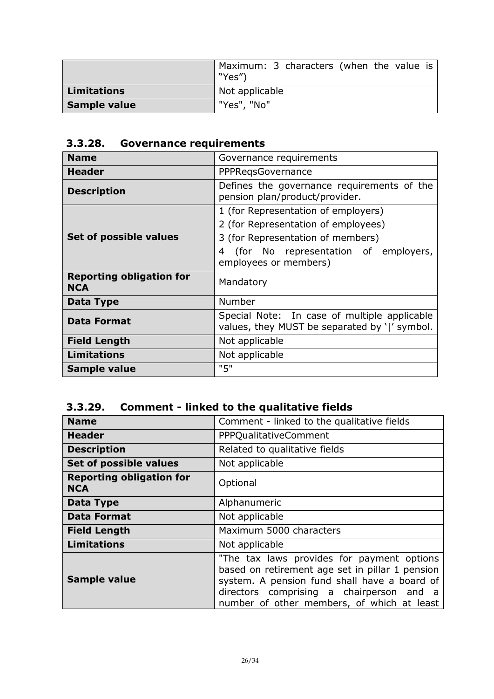|                    | Maximum: 3 characters (when the value is<br>"Yes") |  |  |  |
|--------------------|----------------------------------------------------|--|--|--|
| <b>Limitations</b> | Not applicable                                     |  |  |  |
| Sample value       | "Yes", "No"                                        |  |  |  |

# <span id="page-25-0"></span>**3.3.28. Governance requirements**

| <b>Name</b>                                   | Governance requirements                                                                       |  |  |  |  |  |  |
|-----------------------------------------------|-----------------------------------------------------------------------------------------------|--|--|--|--|--|--|
| <b>Header</b>                                 | PPPRegsGovernance                                                                             |  |  |  |  |  |  |
| <b>Description</b>                            | Defines the governance requirements of the<br>pension plan/product/provider.                  |  |  |  |  |  |  |
|                                               | 1 (for Representation of employers)                                                           |  |  |  |  |  |  |
|                                               | 2 (for Representation of employees)                                                           |  |  |  |  |  |  |
| Set of possible values                        | 3 (for Representation of members)                                                             |  |  |  |  |  |  |
|                                               | (for No representation of employers,<br>4<br>employees or members)                            |  |  |  |  |  |  |
| <b>Reporting obligation for</b><br><b>NCA</b> | Mandatory                                                                                     |  |  |  |  |  |  |
| Data Type                                     | Number                                                                                        |  |  |  |  |  |  |
| <b>Data Format</b>                            | Special Note: In case of multiple applicable<br>values, they MUST be separated by ' ' symbol. |  |  |  |  |  |  |
| <b>Field Length</b>                           | Not applicable                                                                                |  |  |  |  |  |  |
| <b>Limitations</b>                            | Not applicable                                                                                |  |  |  |  |  |  |
| Sample value                                  | "5"                                                                                           |  |  |  |  |  |  |

# <span id="page-25-1"></span>**3.3.29. Comment - linked to the qualitative fields**

| <b>Name</b>                                   | Comment - linked to the qualitative fields                                                                                                                                                                                              |  |  |  |  |  |
|-----------------------------------------------|-----------------------------------------------------------------------------------------------------------------------------------------------------------------------------------------------------------------------------------------|--|--|--|--|--|
| <b>Header</b>                                 | PPPQualitativeComment                                                                                                                                                                                                                   |  |  |  |  |  |
| <b>Description</b>                            | Related to qualitative fields                                                                                                                                                                                                           |  |  |  |  |  |
| Set of possible values                        | Not applicable                                                                                                                                                                                                                          |  |  |  |  |  |
| <b>Reporting obligation for</b><br><b>NCA</b> | Optional                                                                                                                                                                                                                                |  |  |  |  |  |
| Data Type                                     | Alphanumeric                                                                                                                                                                                                                            |  |  |  |  |  |
| <b>Data Format</b>                            | Not applicable                                                                                                                                                                                                                          |  |  |  |  |  |
| <b>Field Length</b>                           | Maximum 5000 characters                                                                                                                                                                                                                 |  |  |  |  |  |
| <b>Limitations</b>                            | Not applicable                                                                                                                                                                                                                          |  |  |  |  |  |
| <b>Sample value</b>                           | "The tax laws provides for payment options<br>based on retirement age set in pillar 1 pension<br>system. A pension fund shall have a board of<br>directors comprising a chairperson and a<br>number of other members, of which at least |  |  |  |  |  |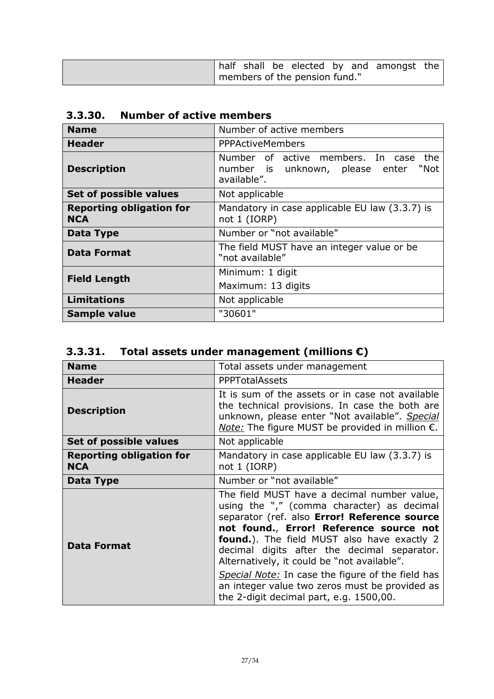|                               |  |  |  |  |  | half shall be elected by and amongst the |  |
|-------------------------------|--|--|--|--|--|------------------------------------------|--|
| members of the pension fund." |  |  |  |  |  |                                          |  |

<span id="page-26-0"></span>

| <b>Name</b>                                   | Number of active members                                                                        |  |
|-----------------------------------------------|-------------------------------------------------------------------------------------------------|--|
| <b>Header</b>                                 | <b>PPPActiveMembers</b>                                                                         |  |
| <b>Description</b>                            | Number of active members. In case<br>the<br>number is unknown, please enter "Not<br>available". |  |
| Set of possible values                        | Not applicable                                                                                  |  |
| <b>Reporting obligation for</b><br><b>NCA</b> | Mandatory in case applicable EU law (3.3.7) is<br>not 1 (IORP)                                  |  |
| Data Type                                     | Number or "not available"                                                                       |  |
| <b>Data Format</b>                            | The field MUST have an integer value or be<br>"not available"                                   |  |
| <b>Field Length</b>                           | Minimum: 1 digit<br>Maximum: 13 digits                                                          |  |
| <b>Limitations</b>                            | Not applicable                                                                                  |  |
| Sample value                                  | "30601"                                                                                         |  |

<span id="page-26-1"></span>

| 3.3.31. |  |  | Total assets under management (millions $\epsilon$ ) |
|---------|--|--|------------------------------------------------------|
|---------|--|--|------------------------------------------------------|

| <b>Name</b>                                   | Total assets under management                                                                                                                                                                                                                                                                                                                                                                                                                                                               |
|-----------------------------------------------|---------------------------------------------------------------------------------------------------------------------------------------------------------------------------------------------------------------------------------------------------------------------------------------------------------------------------------------------------------------------------------------------------------------------------------------------------------------------------------------------|
| <b>Header</b>                                 | <b>PPPTotalAssets</b>                                                                                                                                                                                                                                                                                                                                                                                                                                                                       |
| <b>Description</b>                            | It is sum of the assets or in case not available<br>the technical provisions. In case the both are<br>unknown, please enter "Not available". Special<br><i>Note:</i> The figure MUST be provided in million $\epsilon$ .                                                                                                                                                                                                                                                                    |
| Set of possible values                        | Not applicable                                                                                                                                                                                                                                                                                                                                                                                                                                                                              |
| <b>Reporting obligation for</b><br><b>NCA</b> | Mandatory in case applicable EU law (3.3.7) is<br>not 1 (IORP)                                                                                                                                                                                                                                                                                                                                                                                                                              |
| Data Type                                     | Number or "not available"                                                                                                                                                                                                                                                                                                                                                                                                                                                                   |
| <b>Data Format</b>                            | The field MUST have a decimal number value,<br>using the "," (comma character) as decimal<br>separator (ref. also Error! Reference source<br>not found., Error! Reference source not<br><b>found.</b> ). The field MUST also have exactly 2<br>decimal digits after the decimal separator.<br>Alternatively, it could be "not available".<br>Special Note: In case the figure of the field has<br>an integer value two zeros must be provided as<br>the 2-digit decimal part, e.g. 1500,00. |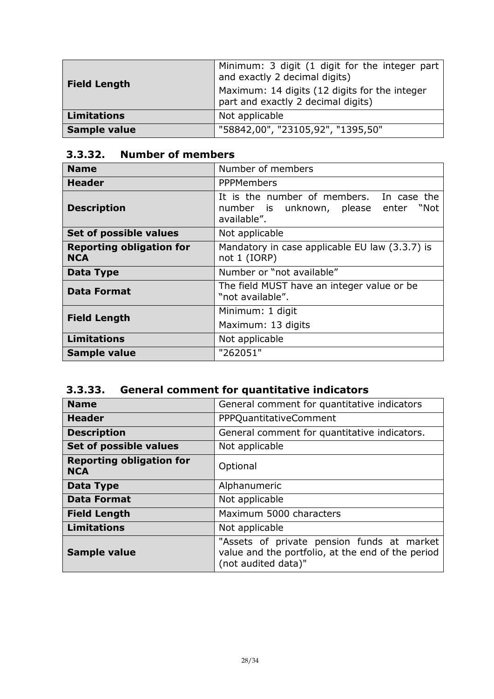| <b>Field Length</b> | Minimum: 3 digit (1 digit for the integer part<br>and exactly 2 decimal digits)     |
|---------------------|-------------------------------------------------------------------------------------|
|                     | Maximum: 14 digits (12 digits for the integer<br>part and exactly 2 decimal digits) |
| <b>Limitations</b>  | Not applicable                                                                      |
| Sample value        | "58842,00", "23105,92", "1395,50"                                                   |

# <span id="page-27-0"></span>**3.3.32. Number of members**

| <b>Name</b>                                   | Number of members                                                                               |
|-----------------------------------------------|-------------------------------------------------------------------------------------------------|
| <b>Header</b>                                 | <b>PPPMembers</b>                                                                               |
| <b>Description</b>                            | It is the number of members. In case the<br>number is unknown, please enter "Not<br>available". |
| Set of possible values                        | Not applicable                                                                                  |
| <b>Reporting obligation for</b><br><b>NCA</b> | Mandatory in case applicable EU law (3.3.7) is<br>not 1 (IORP)                                  |
| Data Type                                     | Number or "not available"                                                                       |
| <b>Data Format</b>                            | The field MUST have an integer value or be<br>"not available".                                  |
| <b>Field Length</b>                           | Minimum: 1 digit                                                                                |
|                                               | Maximum: 13 digits                                                                              |
| <b>Limitations</b>                            | Not applicable                                                                                  |
| <b>Sample value</b>                           | "262051"                                                                                        |

# <span id="page-27-1"></span>**3.3.33. General comment for quantitative indicators**

| <b>Name</b>                                   | General comment for quantitative indicators                                                                            |
|-----------------------------------------------|------------------------------------------------------------------------------------------------------------------------|
| <b>Header</b>                                 | PPPQuantitativeComment                                                                                                 |
| <b>Description</b>                            | General comment for quantitative indicators.                                                                           |
| Set of possible values                        | Not applicable                                                                                                         |
| <b>Reporting obligation for</b><br><b>NCA</b> | Optional                                                                                                               |
| Data Type                                     | Alphanumeric                                                                                                           |
| <b>Data Format</b>                            | Not applicable                                                                                                         |
| <b>Field Length</b>                           | Maximum 5000 characters                                                                                                |
| <b>Limitations</b>                            | Not applicable                                                                                                         |
| <b>Sample value</b>                           | "Assets of private pension funds at market<br>value and the portfolio, at the end of the period<br>(not audited data)" |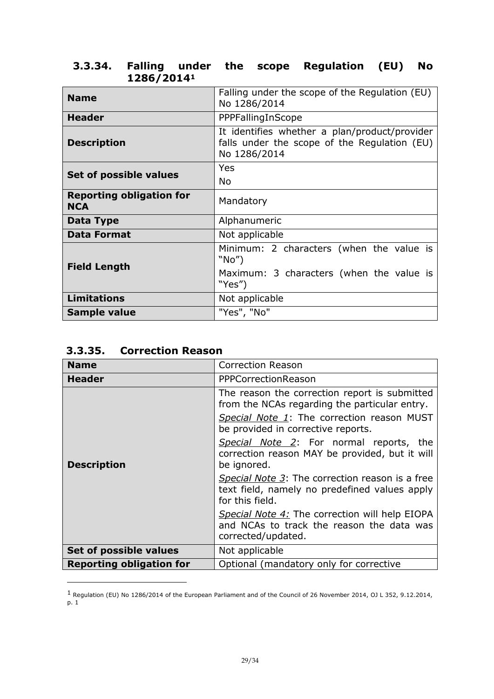| <b>Name</b>                                   | Falling under the scope of the Regulation (EU)<br>No 1286/2014                                                |
|-----------------------------------------------|---------------------------------------------------------------------------------------------------------------|
| <b>Header</b>                                 | PPPFallingInScope                                                                                             |
| <b>Description</b>                            | It identifies whether a plan/product/provider<br>falls under the scope of the Regulation (EU)<br>No 1286/2014 |
| Set of possible values                        | Yes                                                                                                           |
|                                               | No                                                                                                            |
| <b>Reporting obligation for</b><br><b>NCA</b> | Mandatory                                                                                                     |
| Data Type                                     | Alphanumeric                                                                                                  |
| <b>Data Format</b>                            | Not applicable                                                                                                |
| <b>Field Length</b>                           | Minimum: 2 characters (when the value is<br>"No"                                                              |
|                                               | Maximum: 3 characters (when the value is<br>"Yes")                                                            |
| <b>Limitations</b>                            | Not applicable                                                                                                |
| Sample value                                  | "Yes", "No"                                                                                                   |

### <span id="page-28-0"></span>**3.3.34. Falling under the scope Regulation (EU) No 1286/2014<sup>1</sup>**

<span id="page-28-1"></span>

|  | 3.3.35. | <b>Correction Reason</b> |  |
|--|---------|--------------------------|--|
|--|---------|--------------------------|--|

-

| <b>Name</b>                     | <b>Correction Reason</b>                                                                                            |
|---------------------------------|---------------------------------------------------------------------------------------------------------------------|
| <b>Header</b>                   | PPPCorrectionReason                                                                                                 |
| <b>Description</b>              | The reason the correction report is submitted<br>from the NCAs regarding the particular entry.                      |
|                                 | Special Note 1: The correction reason MUST<br>be provided in corrective reports.                                    |
|                                 | Special Note 2: For normal reports, the<br>correction reason MAY be provided, but it will<br>be ignored.            |
|                                 | Special Note 3: The correction reason is a free<br>text field, namely no predefined values apply<br>for this field. |
|                                 | Special Note 4: The correction will help EIOPA<br>and NCAs to track the reason the data was<br>corrected/updated.   |
| Set of possible values          | Not applicable                                                                                                      |
| <b>Reporting obligation for</b> | Optional (mandatory only for corrective                                                                             |

 $^1$  Regulation (EU) No 1286/2014 of the European Parliament and of the Council of 26 November 2014, OJ L 352, 9.12.2014, p. 1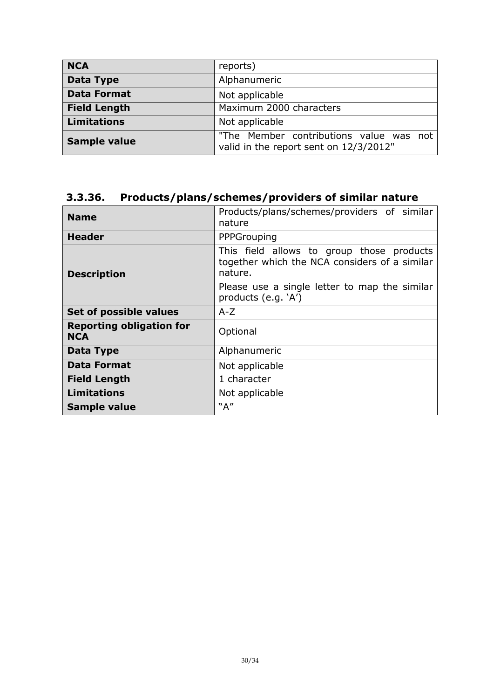| <b>NCA</b>          | reports)                                                                          |
|---------------------|-----------------------------------------------------------------------------------|
| Data Type           | Alphanumeric                                                                      |
| <b>Data Format</b>  | Not applicable                                                                    |
| <b>Field Length</b> | Maximum 2000 characters                                                           |
| <b>Limitations</b>  | Not applicable                                                                    |
| <b>Sample value</b> | "The Member contributions value was not<br>valid in the report sent on 12/3/2012" |

# <span id="page-29-0"></span>**3.3.36. Products/plans/schemes/providers of similar nature**

| <b>Name</b>                                   | Products/plans/schemes/providers of similar<br>nature                                                 |
|-----------------------------------------------|-------------------------------------------------------------------------------------------------------|
| <b>Header</b>                                 | PPPGrouping                                                                                           |
| <b>Description</b>                            | This field allows to group those products<br>together which the NCA considers of a similar<br>nature. |
|                                               | Please use a single letter to map the similar<br>products (e.g. `A')                                  |
| Set of possible values                        | $A-Z$                                                                                                 |
| <b>Reporting obligation for</b><br><b>NCA</b> | Optional                                                                                              |
| Data Type                                     | Alphanumeric                                                                                          |
| <b>Data Format</b>                            | Not applicable                                                                                        |
| <b>Field Length</b>                           | 1 character                                                                                           |
| <b>Limitations</b>                            | Not applicable                                                                                        |
| <b>Sample value</b>                           | "A"                                                                                                   |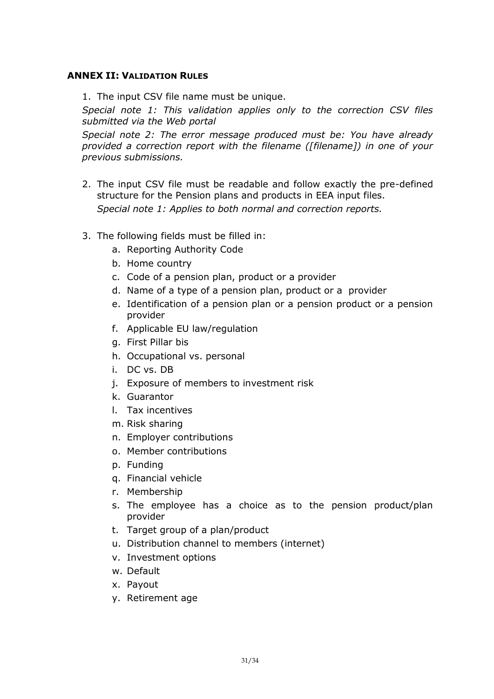#### <span id="page-30-0"></span>**ANNEX II: VALIDATION RULES**

1. The input CSV file name must be unique.

*Special note 1: This validation applies only to the correction CSV files submitted via the Web portal*

*Special note 2: The error message produced must be: You have already provided a correction report with the filename ([filename]) in one of your previous submissions.* 

- 2. The input CSV file must be readable and follow exactly the pre-defined structure for the Pension plans and products in EEA input files. *Special note 1: Applies to both normal and correction reports.*
- 3. The following fields must be filled in:
	- a. Reporting Authority Code
	- b. Home country
	- c. Code of a pension plan, product or a provider
	- d. Name of a type of a pension plan, product or a provider
	- e. Identification of a pension plan or a pension product or a pension provider
	- f. Applicable EU law/regulation
	- g. First Pillar bis
	- h. Occupational vs. personal
	- i. DC vs. DB
	- j. Exposure of members to investment risk
	- k. Guarantor
	- l. Tax incentives
	- m. Risk sharing
	- n. Employer contributions
	- o. Member contributions
	- p. Funding
	- q. Financial vehicle
	- r. Membership
	- s. The employee has a choice as to the pension product/plan provider
	- t. Target group of a plan/product
	- u. Distribution channel to members (internet)
	- v. Investment options
	- w. Default
	- x. Payout
	- y. Retirement age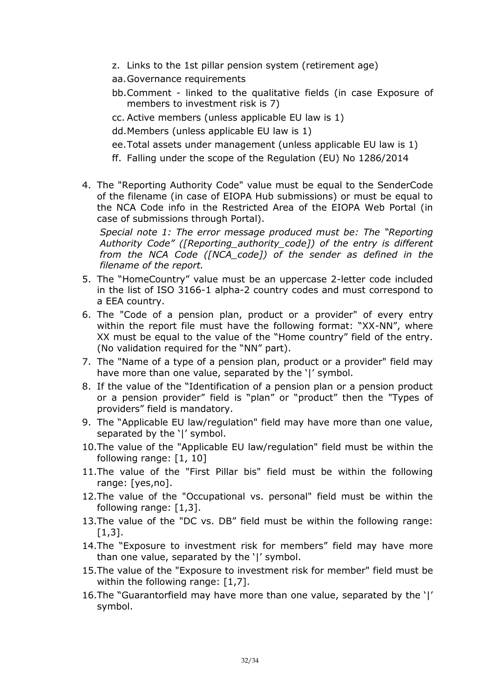- z. Links to the 1st pillar pension system (retirement age)
- aa.Governance requirements
- bb.Comment linked to the qualitative fields (in case Exposure of members to investment risk is 7)
- cc. Active members (unless applicable EU law is 1)
- dd.Members (unless applicable EU law is 1)
- ee.Total assets under management (unless applicable EU law is 1)
- ff. Falling under the scope of the Regulation (EU) No 1286/2014
- 4. The "Reporting Authority Code" value must be equal to the SenderCode of the filename (in case of EIOPA Hub submissions) or must be equal to the NCA Code info in the Restricted Area of the EIOPA Web Portal (in case of submissions through Portal).

*Special note 1: The error message produced must be: The "Reporting Authority Code" ([Reporting\_authority\_code]) of the entry is different from the NCA Code ([NCA\_code]) of the sender as defined in the filename of the report.*

- 5. The "HomeCountry" value must be an uppercase 2-letter code included in the list of ISO 3166-1 alpha-2 country codes and must correspond to a EEA country.
- 6. The "Code of a pension plan, product or a provider" of every entry within the report file must have the following format: "XX-NN", where XX must be equal to the value of the "Home country" field of the entry. (No validation required for the "NN" part).
- 7. The "Name of a type of a pension plan, product or a provider" field may have more than one value, separated by the '|' symbol.
- 8. If the value of the "Identification of a pension plan or a pension product or a pension provider" field is "plan" or "product" then the "Types of providers" field is mandatory.
- 9. The "Applicable EU law/regulation" field may have more than one value, separated by the '|' symbol.
- 10.The value of the "Applicable EU law/regulation" field must be within the following range: [1, 10]
- 11.The value of the "First Pillar bis" field must be within the following range: [yes,no].
- 12.The value of the "Occupational vs. personal" field must be within the following range: [1,3].
- 13.The value of the "DC vs. DB" field must be within the following range:  $[1,3]$ .
- 14.The "Exposure to investment risk for members" field may have more than one value, separated by the '|' symbol.
- 15.The value of the "Exposure to investment risk for member" field must be within the following range: [1,7].
- 16.The "Guarantorfield may have more than one value, separated by the '|' symbol.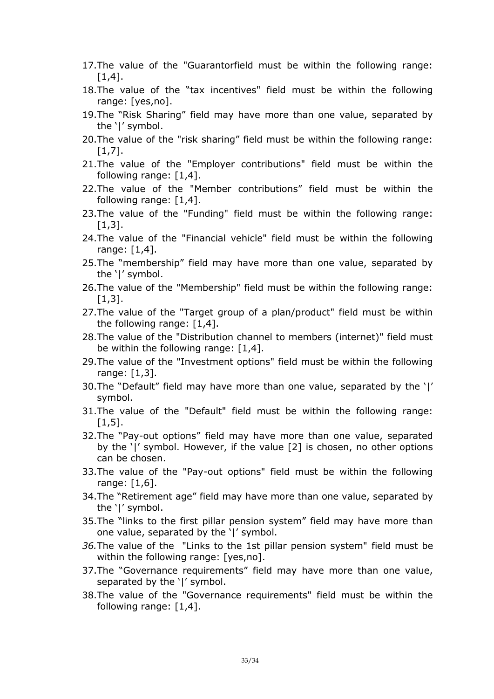- 17.The value of the "Guarantorfield must be within the following range:  $[1,4]$ .
- 18.The value of the "tax incentives" field must be within the following range: [yes,no].
- 19.The "Risk Sharing" field may have more than one value, separated by the '|' symbol.
- 20.The value of the "risk sharing" field must be within the following range:  $[1,7]$ .
- 21.The value of the "Employer contributions" field must be within the following range: [1,4].
- 22.The value of the "Member contributions" field must be within the following range: [1,4].
- 23.The value of the "Funding" field must be within the following range:  $[1,3]$ .
- 24.The value of the "Financial vehicle" field must be within the following range: [1,4].
- 25.The "membership" field may have more than one value, separated by the '|' symbol.
- 26.The value of the "Membership" field must be within the following range:  $[1,3]$ .
- 27.The value of the "Target group of a plan/product" field must be within the following range: [1,4].
- 28.The value of the "Distribution channel to members (internet)" field must be within the following range:  $[1,4]$ .
- 29.The value of the "Investment options" field must be within the following range: [1,3].
- 30.The "Default" field may have more than one value, separated by the '|' symbol.
- 31.The value of the "Default" field must be within the following range:  $[1,5]$ .
- 32.The "Pay-out options" field may have more than one value, separated by the '|' symbol. However, if the value [2] is chosen, no other options can be chosen.
- 33.The value of the "Pay-out options" field must be within the following range: [1,6].
- 34.The "Retirement age" field may have more than one value, separated by the '|' symbol.
- 35.The "links to the first pillar pension system" field may have more than one value, separated by the '|' symbol.
- *36.*The value of the "Links to the 1st pillar pension system" field must be within the following range: [yes,no].
- 37.The "Governance requirements" field may have more than one value, separated by the '|' symbol.
- 38.The value of the "Governance requirements" field must be within the following range: [1,4].